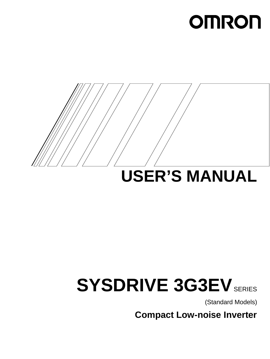# **OMRON**



# **USER'S MANUAL**

# **SYSDRIVE 3G3EV** SERIES

(Standard Models)

**Compact Low-noise Inverter**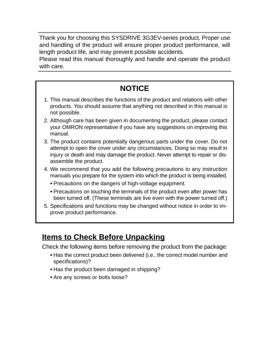Thank you for choosing this SYSDRIVE 3G3EV-series product. Proper use and handling of the product will ensure proper product performance, will length product life, and may prevent possible accidents.

Please read this manual thoroughly and handle and operate the product with care.

## **NOTICE**

- 1. This manual describes the functions of the product and relations with other products. You should assume that anything not described in this manual is not possible.
- 2. Although care has been given in documenting the product, please contact your OMRON representative if you have any suggestions on improving this manual.
- 3. The product contains potentially dangerous parts under the cover. Do not attempt to open the cover under any circumstances. Doing so may result in injury or death and may damage the product. Never attempt to repair or disassemble the product.
- 4. We recommend that you add the following precautions to any instruction manuals you prepare for the system into which the product is being installed. Ï
	- Precautions on the dangers of high-voltage equipment.
	- Precautions on touching the terminals of the product even after power has been turned off. (These terminals are live even with the power turned off.)
- 5. Specifications and functions may be changed without notice in order to improve product performance.

## **Items to Check Before Unpacking**

Check the following items before removing the product from the package:

- $\overline{a}$  Has the correct product been delivered (i.e., the correct model number and specifications)?
- Has the product been damaged in shipping?
- Are any screws or bolts loose?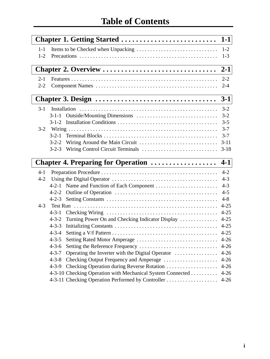|         | <b>Chapter 1. Getting Started </b>                              | $1-1$    |
|---------|-----------------------------------------------------------------|----------|
| $1 - 1$ |                                                                 |          |
| $1 - 2$ |                                                                 | $1 - 3$  |
|         | Chapter 2. Overview                                             | $2 - 1$  |
| $2 - 1$ |                                                                 | $2 - 2$  |
| $2 - 2$ |                                                                 | $2 - 4$  |
|         | Chapter 3. Design                                               | $3-1$    |
| $3-1$   |                                                                 | $3-2$    |
|         | $3-1-1$                                                         | $3 - 2$  |
|         |                                                                 | $3 - 5$  |
|         |                                                                 | $3 - 7$  |
|         |                                                                 | $3 - 7$  |
|         |                                                                 |          |
|         | $3 - 2 - 3$                                                     | $3-18$   |
|         |                                                                 |          |
|         | Chapter 4. Preparing for Operation                              | $4 - 1$  |
| $4-1$   |                                                                 | $4 - 2$  |
| $4 - 2$ |                                                                 | $4 - 3$  |
|         | $4 - 2 - 1$                                                     | $4 - 3$  |
|         | $4 - 2 - 2$                                                     | $4 - 5$  |
|         | $4 - 2 - 3$                                                     | $4 - 8$  |
| $4 - 3$ | Test Run                                                        | $4 - 25$ |
|         | $4 - 3 - 1$                                                     | $4 - 25$ |
|         | Turning Power On and Checking Indicator Display<br>$4 - 3 - 2$  | $4 - 25$ |
|         | $4 - 3 - 3$                                                     | $4 - 25$ |
|         | $4 - 3 - 4$                                                     |          |
|         | $4 - 3 - 5$<br>Setting Rated Motor Amperage                     | $4 - 26$ |
|         | $4 - 3 - 6$                                                     | $4 - 26$ |
|         | $4 - 3 - 7$<br>Operating the Inverter with the Digital Operator | $4-26$   |
|         | Checking Output Frequency and Amperage<br>$4 - 3 - 8$           | $4 - 26$ |
|         | Checking Operation during Reverse Rotation<br>$4 - 3 - 9$       | $4 - 26$ |
|         | 4-3-10 Checking Operation with Mechanical System Connected      | $4-26$   |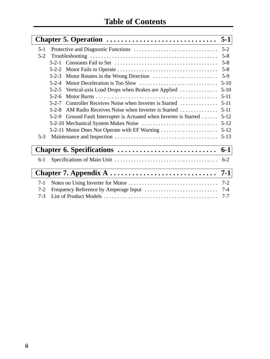|         | Chapter 5. Operation $\ldots \ldots \ldots \ldots \ldots \ldots \ldots \ldots \ldots 5-1$ |          |
|---------|-------------------------------------------------------------------------------------------|----------|
| $5 - 1$ |                                                                                           | $5 - 2$  |
| $5 - 2$ |                                                                                           | $5 - 8$  |
|         | $5 - 2 - 1$                                                                               | $5 - 8$  |
|         | $5 - 2 - 2$                                                                               | $5 - 8$  |
|         | $5 - 2 - 3$                                                                               | $5-9$    |
|         | $5 - 2 - 4$                                                                               | $5-10$   |
|         | Vertical-axis Load Drops when Brakes are Applied<br>$5 - 2 - 5$                           | $5 - 10$ |
|         | $5 - 2 - 6$                                                                               | $5 - 11$ |
|         | Controller Receives Noise when Inverter is Started<br>$5 - 2 - 7$                         | $5 - 11$ |
|         | AM Radio Receives Noise when Inverter is Started<br>$5 - 2 - 8$                           | $5 - 11$ |
|         | Ground Fault Interrupter is Actuated when Inverter is Started<br>$5 - 2 - 9$              | $5 - 12$ |
|         |                                                                                           | $5 - 12$ |
|         | 5-2-11 Motor Does Not Operate with EF Warning                                             | $5 - 12$ |
| $5 - 3$ |                                                                                           | $5 - 13$ |
|         |                                                                                           | $6 - 1$  |
| $6-1$   |                                                                                           | $6 - 2$  |
|         |                                                                                           | $7-1$    |
| $7-1$   |                                                                                           | $7 - 2$  |
| $7 - 2$ |                                                                                           | $7 - 4$  |
| $7 - 3$ |                                                                                           | $7 - 7$  |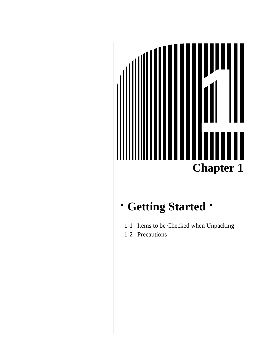

## **· Getting Started ·**

- 1-1 Items to be Checked when Unpacking
- 1-2 Precautions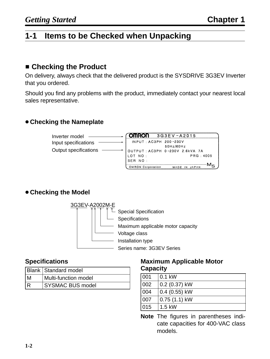## **1-1 Items to be Checked when Unpacking**

## **E** Checking the Product

On delivery, always check that the delivered product is the SYSDRIVE 3G3EV Inverter that you ordered.

Should you find any problems with the product, immediately contact your nearest local sales representative.

#### **Checking the Nameplate**



#### **Checking the Model**



#### **Specifications**

|     | <b>Blank Standard model</b> |  |  |  |  |  |
|-----|-----------------------------|--|--|--|--|--|
| M   | Multi-function model        |  |  |  |  |  |
| l R | <b>SYSMAC BUS model</b>     |  |  |  |  |  |

#### **Maximum Applicable Motor Capacity**

| 001 | $0.1$ kW        |
|-----|-----------------|
| 002 | $0.2$ (0.37) kW |
| 004 | $0.4$ (0.55) kW |
| 007 | $0.75(1.1)$ kW  |
| 015 | $1.5$ kW        |

**Note** The figures in parentheses indicate capacities for 400-VAC class models.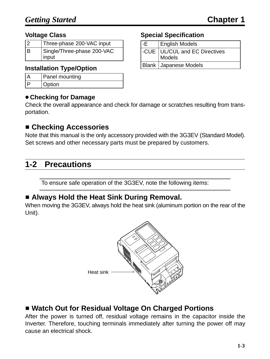#### **Voltage Class**

| $\overline{2}$ | Three-phase 200-VAC input  |
|----------------|----------------------------|
| lв             | Single/Three-phase 200-VAC |
|                | input                      |

#### **Installation Type/Option**

| Panel mounting |  |  |  |  |  |
|----------------|--|--|--|--|--|
| Option         |  |  |  |  |  |

#### **Checking for Damage**

Check the overall appearance and check for damage or scratches resulting from transportation.

## **E** Checking Accessories

Note that this manual is the only accessory provided with the 3G3EV (Standard Model). Set screws and other necessary parts must be prepared by customers.

## **1-2 Precautions**

To ensure safe operation of the 3G3EV, note the following items:

## **E** Always Hold the Heat Sink During Removal.

When moving the 3G3EV, always hold the heat sink (aluminum portion on the rear of the Unit).



## ■ Watch Out for Residual Voltage On Charged Portions

After the power is turned off, residual voltage remains in the capacitor inside the Inverter. Therefore, touching terminals immediately after turning the power off may cause an electrical shock.

#### **Special Specification**

| l-E | <b>English Models</b>                     |
|-----|-------------------------------------------|
|     | -CUE   UL/CUL and EC Directives<br>Models |
|     | <b>Blank Japanese Models</b>              |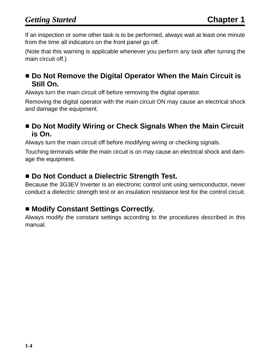If an inspection or some other task is to be performed, always wait at least one minute from the time all indicators on the front panel go off.

(Note that this warning is applicable whenever you perform any task after turning the main circuit off.)

## ■ Do Not Remove the Digital Operator When the Main Circuit is **Still On.**

Always turn the main circuit off before removing the digital operator.

Removing the digital operator with the main circuit ON may cause an electrical shock and damage the equipment.

## $\blacksquare$  **Do Not Modify Wiring or Check Signals When the Main Circuit is On.**

Always turn the main circuit off before modifying wiring or checking signals.

Touching terminals while the main circuit is on may cause an electrical shock and damage the equipment.

## ■ Do Not Conduct a Dielectric Strength Test.

Because the 3G3EV Inverter is an electronic control unit using semiconductor, never conduct a dielectric strength test or an insulation resistance test for the control circuit.

## **E Modify Constant Settings Correctly.**

Always modify the constant settings according to the procedures described in this manual.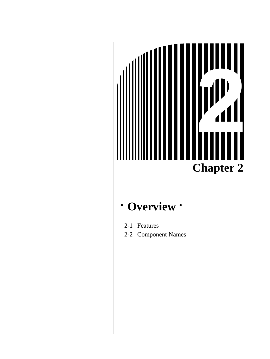

#### **Overview**  $\bullet$

- 2-1 Features
- 2-2 Component Names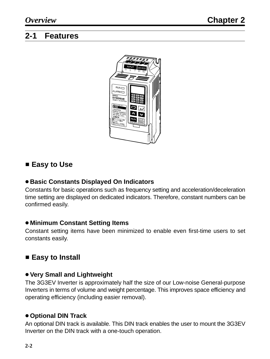## **2-1 Features**



## - **Easy to Use**

#### **Basic Constants Displayed On Indicators**

Constants for basic operations such as frequency setting and acceleration/deceleration time setting are displayed on dedicated indicators. Therefore, constant numbers can be confirmed easily.

#### **Minimum Constant Setting Items**

Constant setting items have been minimized to enable even first-time users to set constants easily.

## ■ Easy to Install

#### **Very Small and Lightweight**

The 3G3EV Inverter is approximately half the size of our Low-noise General-purpose Inverters in terms of volume and weight percentage. This improves space efficiency and operating efficiency (including easier removal).

#### **Optional DIN Track**

An optional DIN track is available. This DIN track enables the user to mount the 3G3EV Inverter on the DIN track with a one-touch operation.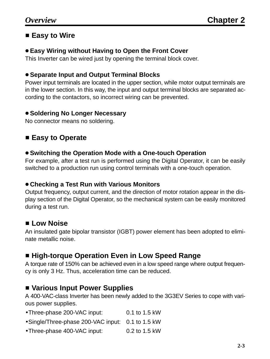### ■ Easy to Wire

#### **Easy Wiring without Having to Open the Front Cover**

This Inverter can be wired just by opening the terminal block cover.

#### **Separate Input and Output Terminal Blocks**

Power input terminals are located in the upper section, while motor output terminals are in the lower section. In this way, the input and output terminal blocks are separated according to the contactors, so incorrect wiring can be prevented.

#### **• Soldering No Longer Necessary**

No connector means no soldering.

## - **Easy to Operate**

#### **Switching the Operation Mode with a One-touch Operation**

For example, after a test run is performed using the Digital Operator, it can be easily switched to a production run using control terminals with a one-touch operation.

#### **Checking a Test Run with Various Monitors**

Output frequency, output current, and the direction of motor rotation appear in the display section of the Digital Operator, so the mechanical system can be easily monitored during a test run.

## **E** Low Noise

An insulated gate bipolar transistor (IGBT) power element has been adopted to eliminate metallic noise.

## **E** High-torque Operation Even in Low Speed Range

A torque rate of 150% can be achieved even in a low speed range where output frequency is only 3 Hz. Thus, acceleration time can be reduced.

## **E** Various Input Power Supplies

A 400-VAC-class Inverter has been newly added to the 3G3EV Series to cope with various power supplies.

| • Three-phase 200-VAC input: | 0.1 to 1.5 kW |
|------------------------------|---------------|
|------------------------------|---------------|

- •Single/Three-phase 200-VAC input: 0.1 to 1.5 kW
- •Three-phase 400-VAC input: 0.2 to 1.5 kW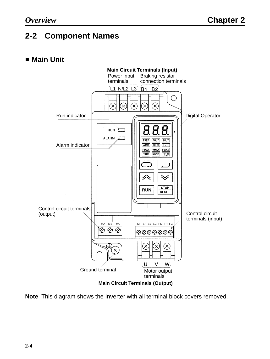## **2-2 Component Names**

## - **Main Unit**



**Note** This diagram shows the Inverter with all terminal block covers removed.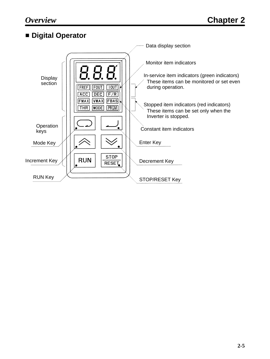## - **Digital Operator**

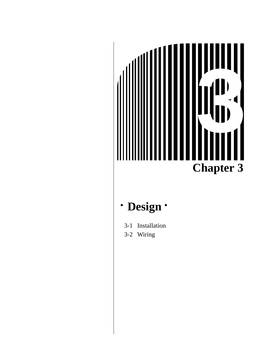

#### **Design**  $\bullet$

- 3-1 Installation
- 3-2 Wiring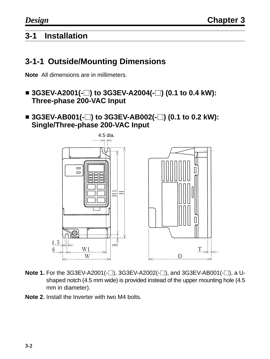## **3-1 Installation**

## **3-1-1 Outside/Mounting Dimensions**

**Note** All dimensions are in millimeters.

- 3G3EV-A2001(-□) to 3G3EV-A2004(-□) (0.1 to 0.4 kW): **Three-phase 200-VAC Input**
- 3G3EV-AB001(-□) to 3G3EV-AB002(-□) (0.1 to 0.2 kW): **Single/Three-phase 200-VAC Input**



- **Note 1.** For the 3G3EV-A2001(-□), 3G3EV-A2002(-□), and 3G3EV-AB001(-□), a Ushaped notch (4.5 mm wide) is provided instead of the upper mounting hole (4.5 mm in diameter).
- **Note 2.** Install the Inverter with two M4 bolts.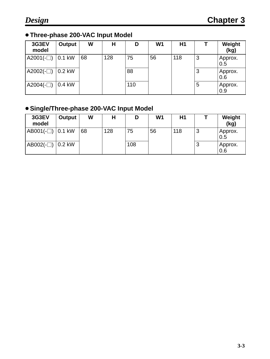## **Three-phase 200-VAC Input Model**

| 3G3EV<br>model | Output   | W  | н   | D   | W <sub>1</sub> | H <sub>1</sub> |   | Weight<br>(kg) |
|----------------|----------|----|-----|-----|----------------|----------------|---|----------------|
| $A2001(-$      | 0.1 kW   | 68 | 128 | 75  | 56             | 118            | 3 | Approx.<br>0.5 |
| $A2002(-$      | $0.2$ kW |    |     | 88  |                |                | 3 | Approx.<br>0.6 |
| A2004 $(-)$    | $0.4$ kW |    |     | 110 |                |                | 5 | Approx.<br>0.9 |

## **Single/Three-phase 200-VAC Input Model**

| 3G3EV<br>model    | Output | W  | н   | D   | W <sub>1</sub> | H1  |   | Weight<br>(kg) |
|-------------------|--------|----|-----|-----|----------------|-----|---|----------------|
| $AB001(-)$ 0.1 kW |        | 68 | 128 | 75  | 56             | 118 | 3 | Approx.<br>0.5 |
| AB002(-□)  0.2 kW |        |    |     | 108 |                |     | 3 | Approx.<br>0.6 |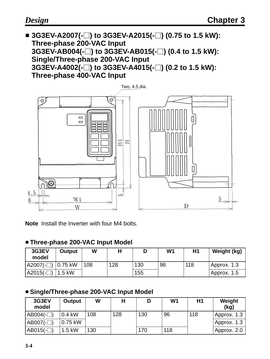■ 3G3EV-A2007(-□) to 3G3EV-A2015(-□) (0.75 to 1.5 kW): **Three-phase 200-VAC Input 3G3EV-AB004(-) to 3G3EV-AB015(-) (0.4 to 1.5 kW): Single/Three-phase 200-VAC Input 3G3EV-A4002(-) to 3G3EV-A4015(-) (0.2 to 1.5 kW): Three-phase 400-VAC Input**



**Note** Install the Inverter with four M4 bolts.

#### **Three-phase 200-VAC Input Model**

| 3G3EV<br>model       | Output   | W   | Н   |     | W <sub>1</sub> | H1  | Weight (kg) |
|----------------------|----------|-----|-----|-----|----------------|-----|-------------|
| $ A2007(-)$ 0.75 kW  |          | 108 | 128 | 130 | 96             | 118 | Approx. 1.3 |
| $ $ A2015(- $\Box$ ) | $1.5$ kW |     |     | 155 |                |     | Approx. 1.5 |

#### **Single/Three-phase 200-VAC Input Model**

| 3G3EV<br>model | Output   | W   | Н   | D   | W <sub>1</sub> | H1  | Weight<br>(kg) |
|----------------|----------|-----|-----|-----|----------------|-----|----------------|
| $AB004(-)$     | $0.4$ kW | 108 | 128 | 130 | 96             | 118 | Approx. 1.3    |
| $AB007(-)$     | 0.75 kW  |     |     |     |                |     | Approx. 1.3    |
| $AB015(-)$     | $1.5$ kW | 130 |     | 170 | 118            |     | Approx. 2.0    |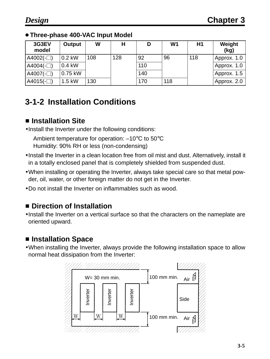#### **Three-phase 400-VAC Input Model**

| 3G3EV<br>model | Output    | W   | н   | D   | W <sub>1</sub> | H1  | Weight<br>(kg) |
|----------------|-----------|-----|-----|-----|----------------|-----|----------------|
| $A4002(-)$     | $0.2$ kW  | 108 | 128 | 92  | 96             | 118 | Approx. 1.0    |
| A4004 $(-$ )   | $0.4$ kW  |     |     | 110 |                |     | Approx. 1.0    |
| $AA007(-)$     | $0.75$ kW |     |     | 140 |                |     | Approx. 1.5    |
| $AA015(-)$     | $1.5$ kW  | 130 |     | 170 | 118            |     | Approx. 2.0    |

## **3-1-2 Installation Conditions**

## - **Installation Site**

•Install the Inverter under the following conditions:

Ambient temperature for operation: –10°C to 50°C Humidity: 90% RH or less (non-condensing)

- •Install the Inverter in a clean location free from oil mist and dust. Alternatively, install it in a totally enclosed panel that is completely shielded from suspended dust.
- •When installing or operating the Inverter, always take special care so that metal powder, oil, water, or other foreign matter do not get in the Inverter.
- •Do not install the Inverter on inflammables such as wood.

## - **Direction of Installation**

•Install the Inverter on a vertical surface so that the characters on the nameplate are oriented upward.

## $\blacksquare$  **Installation Space**

•When installing the Inverter, always provide the following installation space to allow normal heat dissipation from the Inverter:

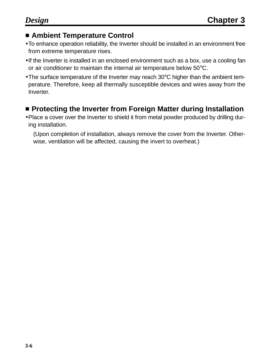## **E** Ambient Temperature Control

- •To enhance operation reliability, the Inverter should be installed in an environment free from extreme temperature rises.
- •If the Inverter is installed in an enclosed environment such as a box, use a cooling fan or air conditioner to maintain the internal air temperature below 50°C.
- •The surface temperature of the Inverter may reach 30°C higher than the ambient temperature. Therefore, keep all thermally susceptible devices and wires away from the Inverter.

## **E** Protecting the Inverter from Foreign Matter during Installation

•Place a cover over the Inverter to shield it from metal powder produced by drilling during installation.

(Upon completion of installation, always remove the cover from the Inverter. Otherwise, ventilation will be affected, causing the invert to overheat.)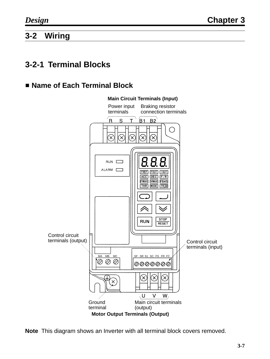## **3-2 Wiring**

## **3-2-1 Terminal Blocks**

## - **Name of Each Terminal Block**



**Note** This diagram shows an Inverter with all terminal block covers removed.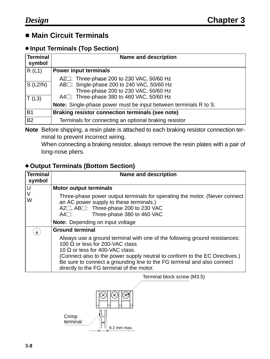## - **Main Circuit Terminals**

#### **Input Terminals (Top Section)**

| <b>Terminal</b><br>symbol | <b>Name and description</b>                                                                                                                                                                             |
|---------------------------|---------------------------------------------------------------------------------------------------------------------------------------------------------------------------------------------------------|
| R(L1)                     | <b>Power input terminals</b>                                                                                                                                                                            |
| $S$ (L2/N)<br>T(L3)       | A2 <sup>1</sup> : Three-phase 200 to 230 VAC, 50/60 Hz<br>AB <sub>[1</sub> : Single-phase 200 to 240 VAC, 50/60 Hz<br>Three-phase 200 to 230 VAC, 50/60 Hz<br>A4□: Three-phase 380 to 460 VAC, 50/60 Hz |
|                           | Note: Single-phase power must be input between terminals R to S.                                                                                                                                        |
| <b>B1</b>                 | Braking resistor connection terminals (see note)                                                                                                                                                        |
| <b>B2</b>                 | Terminals for connecting an optional braking resistor                                                                                                                                                   |

**Note** Before shipping, a resin plate is attached to each braking resistor connection terminal to prevent incorrect wiring.

When connecting a braking resistor, always remove the resin plates with a pair of long-nose pliers.

#### **Output Terminals (Bottom Section)**

| <b>Terminal</b><br>symbol | <b>Name and description</b>                                                                                                                                                                                                                                                                                                                                           |
|---------------------------|-----------------------------------------------------------------------------------------------------------------------------------------------------------------------------------------------------------------------------------------------------------------------------------------------------------------------------------------------------------------------|
| U                         | <b>Motor output terminals</b>                                                                                                                                                                                                                                                                                                                                         |
| W                         | Three-phase power output terminals for operating the motor. (Never connect<br>an AC power supply to these terminals.)<br>A2□, AB□: Three-phase 200 to 230 VAC<br>Three-phase 380 to 460 VAC<br>A4⊟:                                                                                                                                                                   |
|                           | <b>Note:</b> Depending on input voltage                                                                                                                                                                                                                                                                                                                               |
| $\frac{1}{7}$             | <b>Ground terminal</b>                                                                                                                                                                                                                                                                                                                                                |
|                           | Always use a ground terminal with one of the following ground resistances:<br>100 $\Omega$ or less for 200-VAC class<br>10 $\Omega$ or less for 400-VAC class.<br>(Connect also to the power supply neutral to conform to the EC Directives.)<br>Be sure to connect a grounding line to the FG terminal and also connect<br>directly to the FG terminal of the motor. |
|                           | Terminal block screw (M3.5)                                                                                                                                                                                                                                                                                                                                           |

Crimp terminal  $\mathbf{L}$ 6.2 mm max.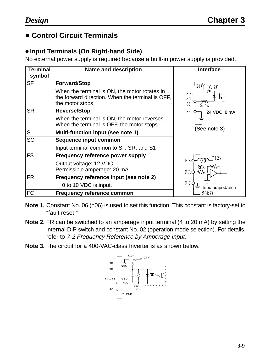## **E** Control Circuit Terminals

#### **Input Terminals (On Right-hand Side)**

No external power supply is required because a built-in power supply is provided.

| Terminal<br>symbol | <b>Name and description</b>                                                                                           | <b>Interface</b>                     |
|--------------------|-----------------------------------------------------------------------------------------------------------------------|--------------------------------------|
| <b>SF</b>          | <b>Forward/Stop</b>                                                                                                   | 24V                                  |
|                    | When the terminal is ON, the motor rotates in<br>the forward direction. When the terminal is OFF,<br>the motor stops. | SF,<br>SR<br>S <sub>1</sub><br>2. 4k |
| <b>SR</b>          | <b>Reverse/Stop</b>                                                                                                   | S <sub>C</sub><br>24 VDC, 8 mA       |
|                    | When the terminal is ON, the motor reverses.<br>When the terminal is OFF, the motor stops.                            | (See note 3)                         |
| S <sub>1</sub>     | Multi-function input (see note 1)                                                                                     |                                      |
| <b>SC</b>          | <b>Sequence input common</b>                                                                                          |                                      |
|                    | Input terminal common to SF, SR, and S1                                                                               |                                      |
| <b>FS</b>          | <b>Frequency reference power supply</b>                                                                               |                                      |
|                    | Output voltage: 12 VDC<br>Permissible amperage: 20 mA                                                                 | ₩<br>20k<br>F R                      |
| <b>FR</b>          | Frequency reference input (see note 2)                                                                                |                                      |
|                    | 0 to 10 VDC is input.                                                                                                 | F C<br>Input impedance               |
| <b>FC</b>          | <b>Frequency reference common</b>                                                                                     | $20k\Omega$                          |

- **Note 1.** Constant No. 06 (n06) is used to set this function. This constant is factory-set to "fault reset."
- **Note 2.** FR can be switched to an amperage input terminal (4 to 20 mA) by setting the internal DIP switch and constant No. 02 (operation mode selection). For details, refer to 7-2 Frequency Reference by Amperage Input.
- **Note 3.** The circuit for a 400-VAC-class Inverter is as shown below.

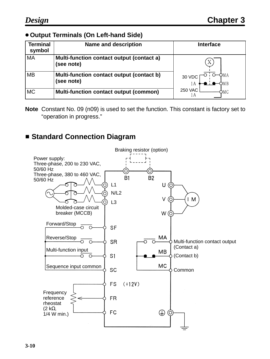#### **Output Terminals (On Left-hand Side)**

| <b>Terminal</b><br>symbol | <b>Name and description</b>                             | <b>Interface</b>      |
|---------------------------|---------------------------------------------------------|-----------------------|
| MA                        | Multi-function contact output (contact a)<br>(see note) |                       |
| MB                        | Multi-function contact output (contact b)<br>(see note) | 30 VDC                |
| МC                        | <b>Multi-function contact output (common)</b>           | <b>250 VAC</b><br>DМC |

**Note** Constant No. 09 (n09) is used to set the function. This constant is factory set to "operation in progress."

## **Example Connection Diagram**

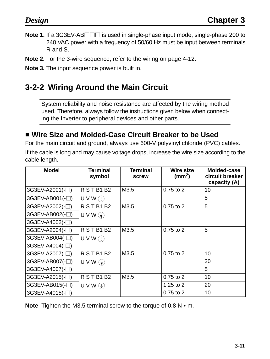- **Note 1.** If a 3G3EV-AB□□□ is used in single-phase input mode, single-phase 200 to 240 VAC power with a frequency of 50/60 Hz must be input between terminals R and S.
- **Note 2.** For the 3-wire sequence, refer to the wiring on page 4-12.
- **Note 3.** The input sequence power is built in.

## **3-2-2 Wiring Around the Main Circuit**

System reliability and noise resistance are affected by the wiring method used. Therefore, always follow the instructions given below when connecting the Inverter to peripheral devices and other parts.

## ■ Wire Size and Molded-Case Circuit Breaker to be Used

For the main circuit and ground, always use 600-V polyvinyl chloride (PVC) cables.

If the cable is long and may cause voltage drops, increase the wire size according to the cable length.

| <b>Model</b>    | <b>Terminal</b><br>symbol | <b>Terminal</b><br>screw | <b>Wire size</b><br>(mm <sup>2</sup> ) | Molded-case<br>circuit breaker<br>capacity (A) |
|-----------------|---------------------------|--------------------------|----------------------------------------|------------------------------------------------|
| 3G3EV-A2001(-□) | RSTB1B2                   | M3.5                     | $0.75$ to $2$                          | 10                                             |
| 3G3EV-AB001(-□) | U V W $(\frac{1}{2})$     |                          |                                        | 5                                              |
| 3G3EV-A2002(-□) | RSTB1B2                   | M3.5                     | 0.75 to 2                              | 5                                              |
| 3G3EV-AB002(-□) | $U V W(\frac{1}{2})$      |                          |                                        |                                                |
| 3G3EV-A4002(-□) |                           |                          |                                        |                                                |
| 3G3EV-A2004(-□) | RSTB1B2                   | M3.5                     | 0.75 to 2                              | 5                                              |
| 3G3EV-AB004(-□) | $U V W(\frac{1}{2})$      |                          |                                        |                                                |
| 3G3EV-A4004(-□) |                           |                          |                                        |                                                |
| 3G3EV-A2007(-□) | RSTB1B2                   | M3.5                     | 0.75 to 2                              | 10                                             |
| 3G3EV-AB007(-□) | $UVW(\frac{1}{2})$        |                          |                                        | 20                                             |
| 3G3EV-A4007(-□) |                           |                          |                                        | 5                                              |
| 3G3EV-A2015(-□) | <b>R S T B1 B2</b>        | M3.5                     | $0.75$ to $2$                          | 10                                             |
| 3G3EV-AB015(-□) | U V W $(\frac{1}{2})$     |                          | $1.25$ to $2$                          | 20                                             |
| 3G3EV-A4015(-□) |                           |                          | $0.75$ to $2$                          | 10                                             |

**Note** Tighten the M3.5 terminal screw to the torque of 0.8 N • m.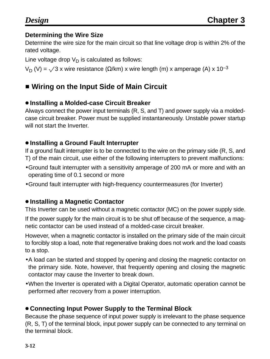#### **Determining the Wire Size**

Determine the wire size for the main circuit so that line voltage drop is within 2% of the rated voltage.

Line voltage drop  $V_D$  is calculated as follows:

 $V_D$  (V) =  $\sqrt{3}$  x wire resistance (Ω/km) x wire length (m) x amperage (A) x 10<sup>-3</sup>

## $\blacksquare$  **Wiring on the Input Side of Main Circuit**

#### **Installing a Molded-case Circuit Breaker**

Always connect the power input terminals (R, S, and T) and power supply via a moldedcase circuit breaker. Power must be supplied instantaneously. Unstable power startup will not start the Inverter.

#### **Installing a Ground Fault Interrupter**

If a ground fault interrupter is to be connected to the wire on the primary side (R, S, and T) of the main circuit, use either of the following interrupters to prevent malfunctions:

- •Ground fault interrupter with a sensitivity amperage of 200 mA or more and with an operating time of 0.1 second or more
- •Ground fault interrupter with high-frequency countermeasures (for Inverter)

#### **Installing a Magnetic Contactor**

This Inverter can be used without a magnetic contactor (MC) on the power supply side.

If the power supply for the main circuit is to be shut off because of the sequence, a magnetic contactor can be used instead of a molded-case circuit breaker.

However, when a magnetic contactor is installed on the primary side of the main circuit to forcibly stop a load, note that regenerative braking does not work and the load coasts to a stop.

- •A load can be started and stopped by opening and closing the magnetic contactor on the primary side. Note, however, that frequently opening and closing the magnetic contactor may cause the Inverter to break down.
- •When the Inverter is operated with a Digital Operator, automatic operation cannot be performed after recovery from a power interruption.

## **Connecting Input Power Supply to the Terminal Block**

Because the phase sequence of input power supply is irrelevant to the phase sequence (R, S, T) of the terminal block, input power supply can be connected to any terminal on the terminal block.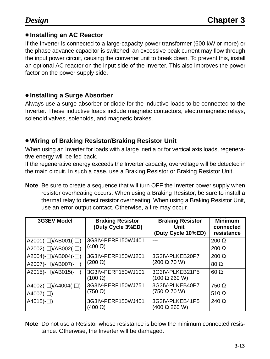#### **Installing an AC Reactor**

If the Inverter is connected to a large-capacity power transformer (600 kW or more) or the phase advance capacitor is switched, an excessive peak current may flow through the input power circuit, causing the converter unit to break down. To prevent this, install an optional AC reactor on the input side of the Inverter. This also improves the power factor on the power supply side.

#### **Installing a Surge Absorber**

Always use a surge absorber or diode for the inductive loads to be connected to the Inverter. These inductive loads include magnetic contactors, electromagnetic relays, solenoid valves, solenoids, and magnetic brakes.

#### **Wiring of Braking Resistor/Braking Resistor Unit**

When using an Inverter for loads with a large inertia or for vertical axis loads, regenerative energy will be fed back.

If the regenerative energy exceeds the Inverter capacity, overvoltage will be detected in the main circuit. In such a case, use a Braking Resistor or Braking Resistor Unit.

**Note** Be sure to create a sequence that will turn OFF the Inverter power supply when resistor overheating occurs. When using a Braking Resistor, be sure to install a thermal relay to detect resistor overheating. When using a Braking Resistor Unit, use an error output contact. Otherwise, a fire may occur.

| <b>3G3EV Model</b>            | <b>Braking Resistor</b><br>(Duty Cycle 3%ED) | <b>Braking Resistor</b><br>Unit<br>(Duty Cycle 10%ED) | <b>Minimum</b><br>connected<br>resistance |
|-------------------------------|----------------------------------------------|-------------------------------------------------------|-------------------------------------------|
| $A2001(-))/AB001(-)$          | 3G3IV-PERF150WJ401                           |                                                       | $200 \Omega$                              |
| $A2002(-))/AB002(-)$          | $(400 \Omega)$                               |                                                       | $200 \Omega$                              |
| $A2004(-))$ /AB004(- $\Box$ ) | 3G3IV-PERF150WJ201                           | 3G3IV-PLKEB20P7<br>$(200 \Omega 70 W)$                | $200 \Omega$                              |
| $A2007(-)$ /AB007(- $\Box$ )  | $(200 \Omega)$                               |                                                       | $80\ \Omega$                              |
| $A2015(-)$ /AB015(- $\Box$ )  | 3G3IV-PERF150WJ101<br>$(100 \Omega)$         | 3G3IV-PLKEB21P5<br>$(100 \Omega 260 W)$               | $60 \Omega$                               |
| $A4002(-))$ /A4004(- $\Box$ ) | 3G3IV-PERF150WJ751                           | 3G3IV-PLKEB40P7                                       | $750 \Omega$                              |
| A4007 $(-)$                   | $(750 \Omega)$                               | $(750 \Omega 70 W)$                                   | 510 $\Omega$                              |
| A4015 $(-)$                   | 3G3IV-PERF150WJ401<br>(400 Ω)                | 3G3IV-PLKEB41P5<br>$(400 \Omega 260 W)$               | 240 $\Omega$                              |

**Note** Do not use a Resistor whose resistance is below the minimum connected resistance. Otherwise, the Inverter will be damaged.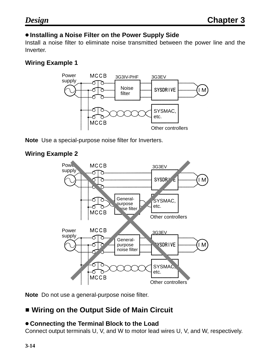#### **Installing a Noise Filter on the Power Supply Side**

Install a noise filter to eliminate noise transmitted between the power line and the Inverter.

#### **Wiring Example 1**



**Note** Use a special-purpose noise filter for Inverters.

#### **Wiring Example 2**



**Note** Do not use a general-purpose noise filter.

## $\blacksquare$  **Wiring on the Output Side of Main Circuit**

#### **Connecting the Terminal Block to the Load**

Connect output terminals U, V, and W to motor lead wires U, V, and W, respectively.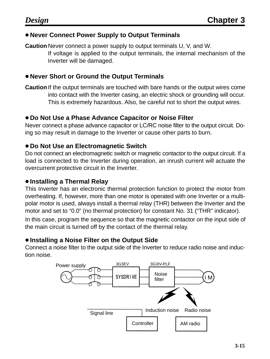#### **Never Connect Power Supply to Output Terminals**

**Caution** Never connect a power supply to output terminals U, V, and W.

If voltage is applied to the output terminals, the internal mechanism of the Inverter will be damaged.

#### **Never Short or Ground the Output Terminals**

**Caution** If the output terminals are touched with bare hands or the output wires come into contact with the Inverter casing, an electric shock or grounding will occur. This is extremely hazardous. Also, be careful not to short the output wires.

#### **Do Not Use a Phase Advance Capacitor or Noise Filter**

Never connect a phase advance capacitor or LC/RC noise filter to the output circuit. Doing so may result in damage to the Inverter or cause other parts to burn.

#### **Do Not Use an Electromagnetic Switch**

Do not connect an electromagnetic switch or magnetic contactor to the output circuit. If a load is connected to the Inverter during operation, an inrush current will actuate the overcurrent protective circuit in the Inverter.

#### **Installing a Thermal Relay**

This Inverter has an electronic thermal protection function to protect the motor from overheating. If, however, more than one motor is operated with one Inverter or a multipolar motor is used, always install a thermal relay (THR) between the Inverter and the motor and set to "0.0" (no thermal protection) for constant No. 31 ("THR" indicator).

In this case, program the sequence so that the magnetic contactor on the input side of the main circuit is turned off by the contact of the thermal relay.

#### **Installing a Noise Filter on the Output Side**

Connect a noise filter to the output side of the Inverter to reduce radio noise and induction noise.

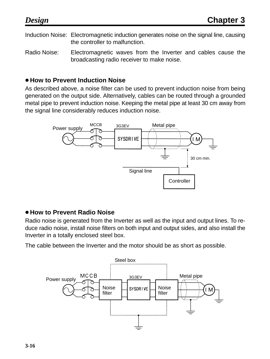Induction Noise: Electromagnetic induction generates noise on the signal line, causing the controller to malfunction.

Radio Noise: Electromagnetic waves from the Inverter and cables cause the broadcasting radio receiver to make noise.

#### **How to Prevent Induction Noise**

As described above, a noise filter can be used to prevent induction noise from being generated on the output side. Alternatively, cables can be routed through a grounded metal pipe to prevent induction noise. Keeping the metal pipe at least 30 cm away from the signal line considerably reduces induction noise.



#### **How to Prevent Radio Noise**

Radio noise is generated from the Inverter as well as the input and output lines. To reduce radio noise, install noise filters on both input and output sides, and also install the Inverter in a totally enclosed steel box.

The cable between the Inverter and the motor should be as short as possible.

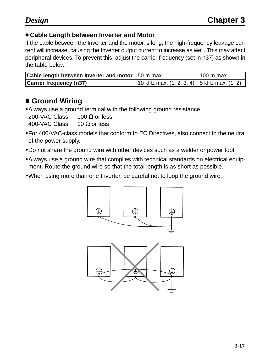#### **Cable Length between Inverter and Motor**

If the cable between the Inverter and the motor is long, the high-frequency leakage current will increase, causing the Inverter output current to increase as well. This may affect peripheral devices. To prevent this, adjust the carrier frequency (set in n37) as shown in the table below.

| <b>Cable length between Inverter and motor</b> 50 m max. |                                                | 100 m max. |
|----------------------------------------------------------|------------------------------------------------|------------|
| <b>Carrier frequency (n37)</b>                           | 10 kHz max. $(1, 2, 3, 4)$ 5 kHz max. $(1, 2)$ |            |

## **E** Ground Wiring

•Always use a ground terminal with the following ground resistance. 200-VAC Class:  $100 Ω$  or less 400-VAC Class: 10 Ω or less

- •For 400-VAC-class models that conform to EC Directives, also connect to the neutral of the power supply.
- •Do not share the ground wire with other devices such as a welder or power tool.
- •Always use a ground wire that complies with technical standards on electrical equipment. Route the ground wire so that the total length is as short as possible.
- •When using more than one Inverter, be careful not to loop the ground wire.



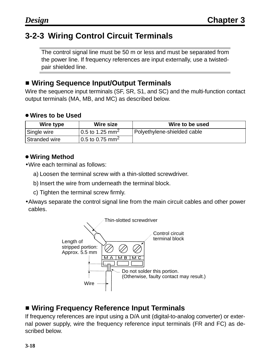## **3-2-3 Wiring Control Circuit Terminals**

The control signal line must be 50 m or less and must be separated from the power line. If frequency references are input externally, use a twistedpair shielded line.

## **E** Wiring Sequence Input/Output Terminals

Wire the sequence input terminals (SF, SR, S1, and SC) and the multi-function contact output terminals (MA, MB, and MC) as described below.

#### **Wires to be Used**

| Wire type     | Wire size                   | Wire to be used             |
|---------------|-----------------------------|-----------------------------|
| Single wire   | 0.5 to 1.25 mm <sup>2</sup> | Polyethylene-shielded cable |
| Stranded wire | 0.5 to 0.75 mm <sup>2</sup> |                             |

#### **Wiring Method**

- •Wire each terminal as follows:
	- a) Loosen the terminal screw with a thin-slotted screwdriver.
	- b) Insert the wire from underneath the terminal block.
	- c) Tighten the terminal screw firmly.
- •Always separate the control signal line from the main circuit cables and other power cables.



## **E** Wiring Frequency Reference Input Terminals

If frequency references are input using a D/A unit (digital-to-analog converter) or external power supply, wire the frequency reference input terminals (FR and FC) as described below.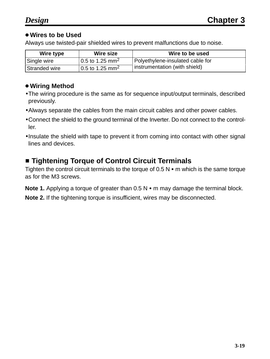#### **Wires to be Used**

Always use twisted-pair shielded wires to prevent malfunctions due to noise.

| Wire type     | Wire size                   | Wire to be used                  |
|---------------|-----------------------------|----------------------------------|
| Single wire   | 0.5 to 1.25 mm <sup>2</sup> | Polyethylene-insulated cable for |
| Stranded wire | 0.5 to 1.25 mm <sup>2</sup> | instrumentation (with shield)    |

#### **Wiring Method**

- •The wiring procedure is the same as for sequence input/output terminals, described previously.
- •Always separate the cables from the main circuit cables and other power cables.
- •Connect the shield to the ground terminal of the Inverter. Do not connect to the controller.
- •Insulate the shield with tape to prevent it from coming into contact with other signal lines and devices.

## **E** Tightening Torque of Control Circuit Terminals

Tighten the control circuit terminals to the torque of  $0.5 N \cdot m$  which is the same torque as for the M3 screws.

Note 1. Applying a torque of greater than 0.5 N • m may damage the terminal block.

**Note 2.** If the tightening torque is insufficient, wires may be disconnected.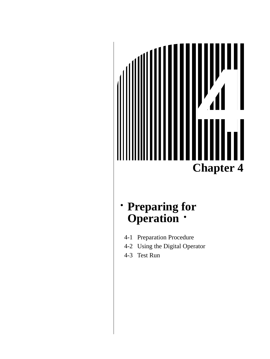

## **Preparing for Operation**

- 4-1 Preparation Procedure
- 4-2 Using the Digital Operator
- 4-3 Test Run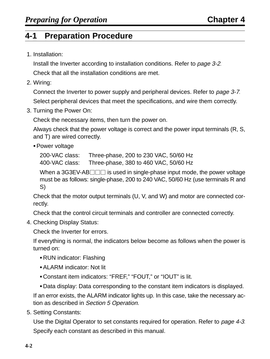## **4-1 Preparation Procedure**

1. Installation:

Install the Inverter according to installation conditions. Refer to page 3-2.

Check that all the installation conditions are met.

2. Wiring:

Connect the Inverter to power supply and peripheral devices. Refer to page 3-7. Select peripheral devices that meet the specifications, and wire them correctly.

3. Turning the Power On:

Check the necessary items, then turn the power on.

Always check that the power voltage is correct and the power input terminals (R, S, and T) are wired correctly.

Power voltage

200-VAC class: Three-phase, 200 to 230 VAC, 50/60 Hz

400-VAC class: Three-phase, 380 to 460 VAC, 50/60 Hz

When a 3G3EV-AB  $\Box$  is used in single-phase input mode, the power voltage must be as follows: single-phase, 200 to 240 VAC, 50/60 Hz (use terminals R and S)

Check that the motor output terminals (U, V, and W) and motor are connected correctly.

Check that the control circuit terminals and controller are connected correctly.

4. Checking Display Status:

Check the Inverter for errors.

If everything is normal, the indicators below become as follows when the power is turned on:

- RUN indicator: Flashing
- ALARM indicator: Not lit
- Constant item indicators: "FREF," "FOUT," or "IOUT" is lit.
- Data display: Data corresponding to the constant item indicators is displayed.

If an error exists, the ALARM indicator lights up. In this case, take the necessary action as described in Section 5 Operation.

5. Setting Constants:

Use the Digital Operator to set constants required for operation. Refer to page 4-3. Specify each constant as described in this manual.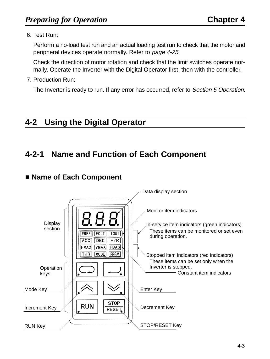#### 6. Test Run:

Perform a no-load test run and an actual loading test run to check that the motor and peripheral devices operate normally. Refer to page 4-25.

Check the direction of motor rotation and check that the limit switches operate normally. Operate the Inverter with the Digital Operator first, then with the controller.

#### 7. Production Run:

The Inverter is ready to run. If any error has occurred, refer to Section 5 Operation.

## **4-2 Using the Digital Operator**

## **4-2-1 Name and Function of Each Component**

## - **Name of Each Component**

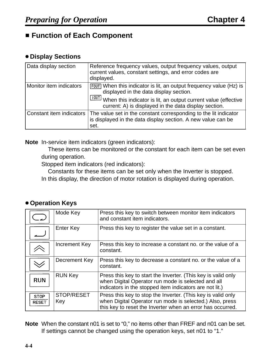## **Example Function of Each Component**

#### **Display Sections**

| Data display section     | Reference frequency values, output frequency values, output<br>current values, constant settings, and error codes are<br>displayed.                                                                                                               |
|--------------------------|---------------------------------------------------------------------------------------------------------------------------------------------------------------------------------------------------------------------------------------------------|
| Monitor item indicators  | [FOUT] When this indicator is lit, an output frequency value (Hz) is<br>displayed in the data display section.<br>100T<br>When this indicator is lit, an output current value (effective<br>current: A) is displayed in the data display section. |
| Constant item indicators | The value set in the constant corresponding to the lit indicator<br>is displayed in the data display section. A new value can be<br>set.                                                                                                          |

**Note** In-service item indicators (green indicators):

These items can be monitored or the constant for each item can be set even during operation.

Stopped item indicators (red indicators):

Constants for these items can be set only when the Inverter is stopped.

In this display, the direction of motor rotation is displayed during operation.

#### **Operation Keys**

|                             | Mode Key          | Press this key to switch between monitor item indicators<br>and constant item indicators.                                                                                              |
|-----------------------------|-------------------|----------------------------------------------------------------------------------------------------------------------------------------------------------------------------------------|
|                             | <b>Enter Key</b>  | Press this key to register the value set in a constant.                                                                                                                                |
|                             | Increment Key     | Press this key to increase a constant no. or the value of a<br>constant.                                                                                                               |
|                             | Decrement Key     | Press this key to decrease a constant no. or the value of a<br>constant.                                                                                                               |
| <b>RUN</b>                  | <b>RUN Key</b>    | Press this key to start the Inverter. (This key is valid only<br>when Digital Operator run mode is selected and all<br>indicators in the stopped item indicators are not lit.)         |
| <b>STOP</b><br><b>RESET</b> | STOP/RESET<br>Key | Press this key to stop the Inverter. (This key is valid only<br>when Digital Operator run mode is selected.) Also, press<br>this key to reset the Inverter when an error has occurred. |

**Note** When the constant n01 is set to "0," no items other than FREF and n01 can be set. If settings cannot be changed using the operation keys, set n01 to "1."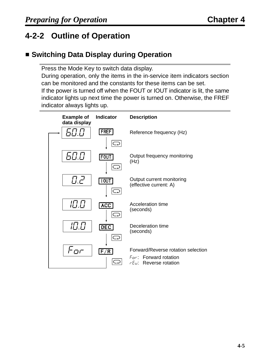# **4-2-2 Outline of Operation**

# **E** Switching Data Display during Operation

Press the Mode Key to switch data display.

During operation, only the items in the in-service item indicators section can be monitored and the constants for these items can be set.

If the power is turned off when the FOUT or IOUT indicator is lit, the same indicator lights up next time the power is turned on. Otherwise, the FREF indicator always lights up.

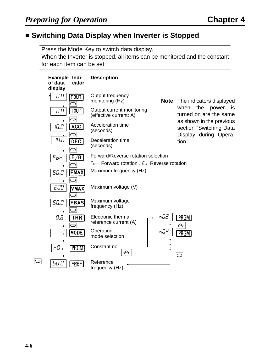### **E** Switching Data Display when Inverter is Stopped

Press the Mode Key to switch data display.

When the Inverter is stopped, all items can be monitored and the constant for each item can be set.

| Example Indi-<br>of data<br>cator<br>display | <b>Description</b>                                  |     |                                                                              |
|----------------------------------------------|-----------------------------------------------------|-----|------------------------------------------------------------------------------|
| 0.0<br><b>FOUT</b><br>Ó                      | Output frequency<br>monitoring (Hz)                 |     | <b>Note</b> The indicators displayed                                         |
| 100T <br>0.0<br>O                            | Output current monitoring<br>(effective current: A) |     | when<br>the<br>power<br>is is<br>turned on are the same                      |
| <b>ACC</b><br><i>10.0</i><br>O               | Acceleration time<br>(seconds)                      |     | as shown in the previous<br>section "Switching Data<br>Display during Opera- |
| 10.0<br><b>DEC</b><br>C                      | Deceleration time<br>(seconds)                      |     | tion."                                                                       |
| F/R<br>$F_{\mathcal{Q}}$ r                   | Forward/Reverse rotation selection                  |     |                                                                              |
| C                                            | For: Forward rotation rEu: Reverse rotation         |     |                                                                              |
| <b>FMAX</b><br>60.O                          | Maximum frequency (Hz)                              |     |                                                                              |
| O<br>200<br><b>VMAX</b>                      | Maximum voltage (V)                                 |     |                                                                              |
| 60.0<br><b>FBAS</b><br>C                     | Maximum voltage<br>frequency (Hz)                   |     |                                                                              |
| 0.5<br><b>THR</b><br>$\bigcirc$              | <b>Electronic thermal</b><br>reference current (A)  | nO2 | <b>PRGM</b><br>$\curvearrowright$                                            |
| MODE                                         | Operation<br>mode selection                         | nŪЧ | <b>PRGM</b>                                                                  |
| n[]  <br>PRGM                                | Constant no.<br>《                                   |     | $\bigcirc$                                                                   |
| ○<br>60.0<br><b>FREF</b>                     | Reference<br>frequency (Hz)                         |     |                                                                              |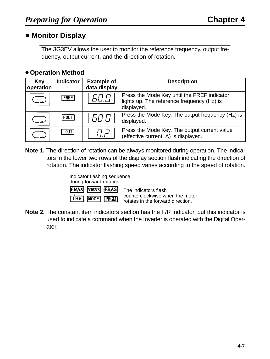### ■ Monitor Display

The 3G3EV allows the user to monitor the reference frequency, output frequency, output current, and the direction of rotation.

### **Operation Method**

| <b>Key</b><br>operation | <b>Indicator</b> | <b>Example of</b><br>data display | <b>Description</b>                                                                                      |
|-------------------------|------------------|-----------------------------------|---------------------------------------------------------------------------------------------------------|
|                         | <b>FREF</b>      | 60.0                              | Press the Mode Key until the FREF indicator<br>lights up. The reference frequency (Hz) is<br>displayed. |
|                         | FOUT             | 60.0                              | Press the Mode Key. The output frequency (Hz) is<br>displayed.                                          |
|                         | 100T             | $H$ . $\mathcal{F}$               | Press the Mode Key. The output current value<br>(effective current: A) is displayed.                    |

**Note 1.** The direction of rotation can be always monitored during operation. The indicators in the lower two rows of the display section flash indicating the direction of rotation. The indicator flashing speed varies according to the speed of rotation.

| Indicator flashing sequence<br>during forward rotation |             |
|--------------------------------------------------------|-------------|
| FMAX VMAX FBAS                                         | Th(         |
| <b>THR MODE</b> PROM                                   | COL<br>rota |

he indicators flash counterclockwise when the motor rotates in the forward direction.

**Note 2.** The constant item indicators section has the F/R indicator, but this indicator is used to indicate a command when the Inverter is operated with the Digital Operator.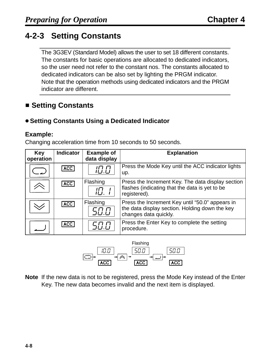# **4-2-3 Setting Constants**

The 3G3EV (Standard Model) allows the user to set 18 different constants. The constants for basic operations are allocated to dedicated indicators, so the user need not refer to the constant nos. The constants allocated to dedicated indicators can be also set by lighting the PRGM indicator. Note that the operation methods using dedicated indicators and the PRGM indicator are different.

# ■ Setting Constants

### **Setting Constants Using a Dedicated Indicator**

### **Example:**

Changing acceleration time from 10 seconds to 50 seconds.

| <b>Key</b><br>operation | <b>Indicator</b> | <b>Example of</b><br>data display | <b>Explanation</b>                                                                                                         |
|-------------------------|------------------|-----------------------------------|----------------------------------------------------------------------------------------------------------------------------|
|                         | <b>ACC</b>       | 10.0                              | Press the Mode Key until the ACC indicator lights<br>up.                                                                   |
|                         | <b>ACC</b>       | Flashing<br>IFT.                  | Press the Increment Key. The data display section<br>flashes (indicating that the data is yet to be<br>registered).        |
|                         | <b>ACC</b>       | Flashing<br>50.0                  | Press the Increment Key until "50.0" appears in<br>the data display section. Holding down the key<br>changes data quickly. |
|                         | <b>ACC</b>       | 50.0                              | Press the Enter Key to complete the setting<br>procedure.                                                                  |



**Note** If the new data is not to be registered, press the Mode Key instead of the Enter Key. The new data becomes invalid and the next item is displayed.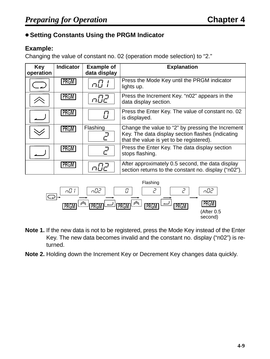### **Setting Constants Using the PRGM Indicator**

### **Example:**

Changing the value of constant no. 02 (operation mode selection) to "2."

| <b>Key</b><br>operation | <b>Indicator</b> | <b>Example of</b><br>data display | <b>Explanation</b>                                                                                                                                 |
|-------------------------|------------------|-----------------------------------|----------------------------------------------------------------------------------------------------------------------------------------------------|
|                         | <b>PRGM</b>      |                                   | Press the Mode Key until the PRGM indicator<br>lights up.                                                                                          |
|                         | PRGM             | ュレー                               | Press the Increment Key. "n02" appears in the<br>data display section.                                                                             |
|                         | <b>PRGM</b>      |                                   | Press the Enter Key. The value of constant no. 02<br>is displayed.                                                                                 |
|                         | <b>PRGM</b>      | Flashing                          | Change the value to "2" by pressing the Increment<br>Key. The data display section flashes (indicating<br>that the value is yet to be registered). |
|                         | <b>PRGM</b>      |                                   | Press the Enter Key. The data display section<br>stops flashing.                                                                                   |
|                         | PRGM             |                                   | After approximately 0.5 second, the data display<br>section returns to the constant no. display ("n02").                                           |



- **Note 1.** If the new data is not to be registered, press the Mode Key instead of the Enter Key. The new data becomes invalid and the constant no. display ("n02") is returned.
- **Note 2.** Holding down the Increment Key or Decrement Key changes data quickly.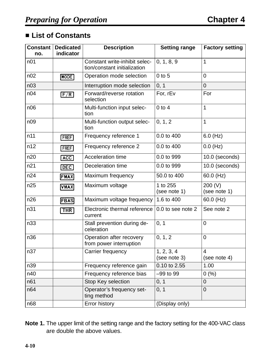### - **List of Constants**

| <b>Constant</b><br>no. | <b>Dedicated</b><br>indicator | <b>Description</b>                                            | <b>Setting range</b>       | <b>Factory setting</b>         |
|------------------------|-------------------------------|---------------------------------------------------------------|----------------------------|--------------------------------|
| n <sub>01</sub>        |                               | Constant write-inhibit selec-<br>tion/constant initialization | 0, 1, 8, 9                 | 1                              |
| n02                    | MODE                          | Operation mode selection                                      | $0$ to $5$                 | $\overline{0}$                 |
| n <sub>03</sub>        |                               | Interruption mode selection                                   | 0, 1                       | $\overline{0}$                 |
| n04                    | F/R                           | Forward/reverse rotation<br>selection                         | For, rEv                   | For                            |
| n06                    |                               | Multi-function input selec-<br>tion                           | $0$ to $4$                 | 1                              |
| n09                    |                               | Multi-function output selec-<br>tion                          | 0, 1, 2                    | 1                              |
| n11                    | <b>FREF</b>                   | Frequency reference 1                                         | 0.0 to 400                 | $6.0$ (Hz)                     |
| n12                    | <b>FREF</b>                   | Frequency reference 2                                         | 0.0 to 400                 | $0.0$ (Hz)                     |
| n20                    | ACC                           | <b>Acceleration time</b>                                      | 0.0 to 999                 | 10.0 (seconds)                 |
| n21                    | DEC                           | Deceleration time                                             | 0.0 to 999                 | 10.0 (seconds)                 |
| n24                    | FMAX                          | Maximum frequency                                             | 50.0 to 400                | $60.0$ (Hz)                    |
| n25                    | <b>VMAX</b>                   | Maximum voltage                                               | 1 to 255<br>(see note 1)   | 200 (V)<br>(see note 1)        |
| n26                    | <b>FBAS</b>                   | Maximum voltage frequency                                     | 1.6 to 400                 | 60.0 (Hz)                      |
| n31                    | <b>THR</b>                    | Electronic thermal reference<br>current                       | 0.0 to see note 2          | See note 2                     |
| n33                    |                               | Stall prevention during de-<br>celeration                     | 0, 1                       | $\overline{0}$                 |
| n36                    |                               | Operation after recovery<br>from power interruption           | 0, 1, 2                    | $\overline{0}$                 |
| n37                    |                               | Carrier frequency                                             | 1, 2, 3, 4<br>(see note 3) | $\overline{4}$<br>(see note 4) |
| n39                    |                               | Frequency reference gain                                      | 0.10 to 2.55               | 1.00                           |
| n40                    |                               | Frequency reference bias                                      | $-99$ to $99$              | 0(%)                           |
| n61                    |                               | Stop Key selection                                            | 0, 1                       | $\overline{0}$                 |
| n64                    |                               | Operator's frequency set-<br>ting method                      | 0, 1<br>$\mathbf 0$        |                                |
| n68                    |                               | <b>Error history</b>                                          | (Display only)             |                                |

**Note 1.** The upper limit of the setting range and the factory setting for the 400-VAC class are double the above values.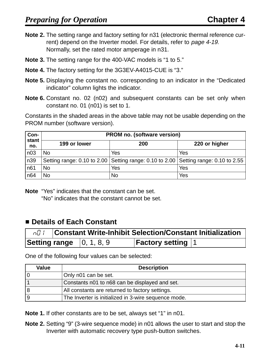- **Note 2.** The setting range and factory setting for n31 (electronic thermal reference current) depend on the Inverter model. For details, refer to page 4-19. Normally, set the rated motor amperage in n31.
- **Note 3.** The setting range for the 400-VAC models is "1 to 5."
- **Note 4.** The factory setting for the 3G3EV-A4015-CUE is "3."
- **Note 5.** Displaying the constant no. corresponding to an indicator in the "Dedicated indicator" column lights the indicator.
- **Note 6.** Constant no. 02 (n02) and subsequent constants can be set only when constant no. 01 (n01) is set to 1.

Constants in the shaded areas in the above table may not be usable depending on the PROM number (software version).

| Con-            | <b>PROM no. (software version)</b> |                                                                                     |               |  |  |
|-----------------|------------------------------------|-------------------------------------------------------------------------------------|---------------|--|--|
| stant<br>no.    | 199 or lower                       | 200                                                                                 | 220 or higher |  |  |
| n <sub>03</sub> | <b>No</b>                          | Yes                                                                                 | Yes           |  |  |
| n39             |                                    | Setting range: 0.10 to 2.00 Setting range: 0.10 to 2.00 Setting range: 0.10 to 2.55 |               |  |  |
| n61             | <b>No</b>                          | Yes                                                                                 | Yes           |  |  |
| n <sub>64</sub> | No                                 | No                                                                                  | Yes           |  |  |

**Note** "Yes" indicates that the constant can be set. "No" indicates that the constant cannot be set.

### ■ Details of Each Constant

| n0 I |                                                 | <b>Constant Write-Inhibit Selection/Constant Initialization</b> |  |
|------|-------------------------------------------------|-----------------------------------------------------------------|--|
|      | <b>Setting range</b> $\vert 0, 1, 8, 9 \rangle$ | <b>Factory setting 1</b>                                        |  |

One of the following four values can be selected:

| <b>Value</b> | <b>Description</b>                                   |
|--------------|------------------------------------------------------|
| ١o           | Only n01 can be set.                                 |
|              | Constants n01 to n68 can be displayed and set.       |
| 18           | All constants are returned to factory settings.      |
| 19           | The Inverter is initialized in 3-wire sequence mode. |

**Note 1.** If other constants are to be set, always set "1" in n01.

**Note 2.** Setting "9" (3-wire sequence mode) in n01 allows the user to start and stop the Inverter with automatic recovery type push-button switches.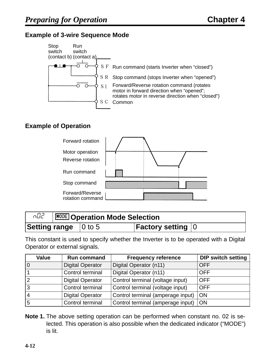### **Example of 3-wire Sequence Mode**



### **Example of Operation**



| nO2                                 | <b>MODE</b> Operation Mode Selection |  |                           |  |
|-------------------------------------|--------------------------------------|--|---------------------------|--|
| <b>Setting range</b> $\vert$ 0 to 5 |                                      |  | <b>Factory setting 10</b> |  |

This constant is used to specify whether the Inverter is to be operated with a Digital Operator or external signals.

| <b>Value</b>   | <b>Run command</b>      | <b>Frequency reference</b>             | <b>DIP switch setting</b> |
|----------------|-------------------------|----------------------------------------|---------------------------|
| 10             | <b>Digital Operator</b> | Digital Operator (n11)                 | <b>OFF</b>                |
|                | Control terminal        | Digital Operator (n11)                 | <b>OFF</b>                |
| $\overline{2}$ | <b>Digital Operator</b> | Control terminal (voltage input)       | <b>OFF</b>                |
| l3             | Control terminal        | Control terminal (voltage input)       | <b>OFF</b>                |
| 14             | <b>Digital Operator</b> | Control terminal (amperage input)   ON |                           |
| 5              | Control terminal        | Control terminal (amperage input)   ON |                           |

**Note 1.** The above setting operation can be performed when constant no. 02 is selected. This operation is also possible when the dedicated indicator ("MODE") is lit.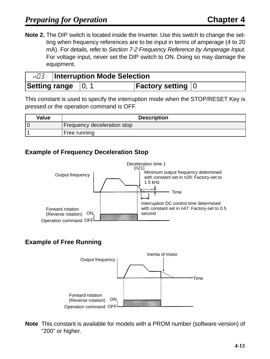**Note 2.** The DIP switch is located inside the Inverter. Use this switch to change the setting when frequency references are to be input in terms of amperage (4 to 20 mA). For details, refer to Section 7-2 Frequency Reference by Amperage Input. For voltage input, never set the DIP switch to ON. Doing so may damage the equipment.

| n03 | <b>Interruption Mode Selection</b> |  |                                               |  |
|-----|------------------------------------|--|-----------------------------------------------|--|
|     | Setting range $\,$  0, $\,$        |  | <b>Factory setting <math> 0\rangle</math></b> |  |

This constant is used to specify the interruption mode when the STOP/RESET Key is pressed or the operation command is OFF.

| <b>Value</b> | <b>Description</b>          |
|--------------|-----------------------------|
|              | Frequency deceleration stop |
|              | Free running                |

### **Example of Frequency Deceleration Stop**



### **Example of Free Running**



**Note** This constant is available for models with a PROM number (software version) of "200" or higher.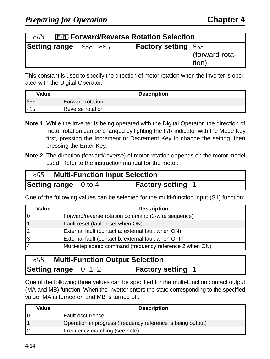| nD4   F/R Forward/Reverse Rotation Selection |                                                      |                                         |                         |  |
|----------------------------------------------|------------------------------------------------------|-----------------------------------------|-------------------------|--|
|                                              | <b>Setting range</b> $ F_{\sigma r}$ , $rE_{\sigma}$ | <b>Factory setting</b> $ F_{\theta r} $ | (forward rota-<br>tion) |  |

This constant is used to specify the direction of motor rotation when the Inverter is operated with the Digital Operator.

| <b>Value</b> | <b>Description</b> |
|--------------|--------------------|
| $F$ or       | Forward rotation   |
| $r \epsilon$ | Reverse rotation   |

- **Note 1.** While the Inverter is being operated with the Digital Operator, the direction of motor rotation can be changed by lighting the F/R indicator with the Mode Key first, pressing the Increment or Decrement Key to change the setting, then pressing the Enter Key.
- **Note 2.** The direction (forward/reverse) of motor rotation depends on the motor model used. Refer to the instruction manual for the motor.

| aD5. | <b>Multi-Function Input Selection</b> |  |                        |  |
|------|---------------------------------------|--|------------------------|--|
|      | <b>Setting range</b> $\vert$ 0 to 4   |  | <b>Factory setting</b> |  |

One of the following values can be selected for the multi-function input (S1) function:

| <b>Value</b> | <b>Description</b>                                       |  |
|--------------|----------------------------------------------------------|--|
|              | Forward/reverse rotation command (3-wire sequence)       |  |
|              | Fault reset (fault reset when ON)                        |  |
|              | External fault (contact a: external fault when ON)       |  |
|              | External fault (contact b: external fault when OFF)      |  |
|              | Multi-step speed command (frequency reference 2 when ON) |  |

| n09 | <b>Multi-Function Output Selection</b>       |  |                          |  |
|-----|----------------------------------------------|--|--------------------------|--|
|     | <b>Setting range</b> $\vert 0, 1, 2 \rangle$ |  | <b>Factory setting 1</b> |  |

One of the following three values can be specified for the multi-function contact output (MA and MB) function. When the Inverter enters the state corresponding to the specified value, MA is turned on and MB is turned off.

| Value | <b>Description</b>                                          |  |
|-------|-------------------------------------------------------------|--|
| 10    | <b>Fault occurrence</b>                                     |  |
|       | Operation in progress (frequency reference is being output) |  |
| 12    | Frequency matching (see note)                               |  |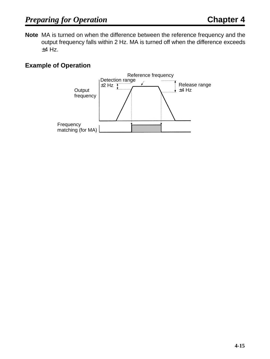**Note** MA is turned on when the difference between the reference frequency and the output frequency falls within 2 Hz. MA is turned off when the difference exceeds  $±4$  Hz.

### **Example of Operation**

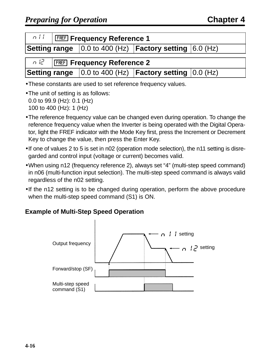| n       FREF] Frequency Reference 1                                                  |  |                                                                                      |  |  |
|--------------------------------------------------------------------------------------|--|--------------------------------------------------------------------------------------|--|--|
| <b>Setting range</b> $\vert$ 0.0 to 400 (Hz) <b>Factory setting</b> $\vert$ 6.0 (Hz) |  |                                                                                      |  |  |
|                                                                                      |  |                                                                                      |  |  |
| n la   FREF] Frequency Reference 2                                                   |  |                                                                                      |  |  |
|                                                                                      |  | <b>Setting range</b> $\vert$ 0.0 to 400 (Hz) <b>Factory setting</b> $\vert$ 0.0 (Hz) |  |  |

- •These constants are used to set reference frequency values.
- The unit of setting is as follows: 0.0 to 99.9 (Hz): 0.1 (Hz) 100 to 400 (Hz): 1 (Hz)
- •The reference frequency value can be changed even during operation. To change the reference frequency value when the Inverter is being operated with the Digital Operator, light the FREF indicator with the Mode Key first, press the Increment or Decrement Key to change the value, then press the Enter Key.
- •If one of values 2 to 5 is set in n02 (operation mode selection), the n11 setting is disregarded and control input (voltage or current) becomes valid.
- •When using n12 (frequency reference 2), always set "4" (multi-step speed command) in n06 (multi-function input selection). The multi-step speed command is always valid regardless of the n02 setting.
- •If the n12 setting is to be changed during operation, perform the above procedure when the multi-step speed command (S1) is ON.

### **Example of Multi-Step Speed Operation**

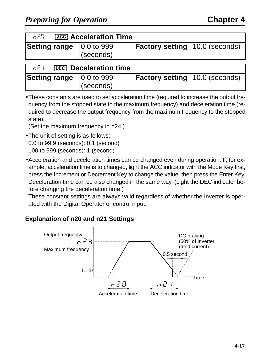| n20.           | <b>ACC</b> Acceleration Time |                                                              |                                       |  |  |
|----------------|------------------------------|--------------------------------------------------------------|---------------------------------------|--|--|
|                |                              | <b>Setting range</b> $\vert 0.0 \rangle$ to 999<br>(seconds) | <b>Factory setting 10.0 (seconds)</b> |  |  |
| n <sup>7</sup> |                              | <b>DEC</b> Deceleration time                                 |                                       |  |  |
|                |                              | <b>Setting range</b> $\vert 0.0 \rangle$ to 999              | <b>Factory setting 10.0 (seconds)</b> |  |  |

| • These constants are used to set acceleration time (required to increase the output fre- |
|-------------------------------------------------------------------------------------------|
| quency from the stopped state to the maximum frequency) and deceleration time (re-        |
| quired to decrease the output frequency from the maximum frequency to the stopped         |
| state).                                                                                   |

(Set the maximum frequency in n24.)

(seconds)

- •The unit of setting is as follows: 0.0 to 99.9 (seconds): 0.1 (second) 100 to 999 (seconds): 1 (second)
- •Acceleration and deceleration times can be changed even during operation. If, for example, acceleration time is to changed, light the ACC indicator with the Mode Key first, press the Increment or Decrement Key to change the value, then press the Enter Key. Deceleration time can be also changed in the same way. (Light the DEC indicator before changing the deceleration time.)

These constant settings are always valid regardless of whether the Inverter is operated with the Digital Operator or control input.

### **Explanation of n20 and n21 Settings**

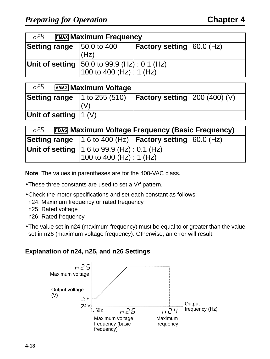| n24<br><b>FEMAX Maximum Frequency</b>                                                                                                                             |                                 |                                  |  |  |
|-------------------------------------------------------------------------------------------------------------------------------------------------------------------|---------------------------------|----------------------------------|--|--|
| <b>Setting range</b>                                                                                                                                              | $ 50.0 \text{ to } 400$<br>(Hz) | <b>Factory setting 60.0 (Hz)</b> |  |  |
| <b>Unit of setting</b> $\begin{vmatrix} 50.0 \text{ to } 99.9 \text{ (Hz)} : 0.1 \text{ (Hz)} \\ 100 \text{ to } 400 \text{ (Hz)} : 1 \text{ (Hz)} \end{vmatrix}$ |                                 |                                  |  |  |

| n25.                      | $\sqrt{\text{VMAX}}$ Maximum Voltage |  |                                                                                 |  |
|---------------------------|--------------------------------------|--|---------------------------------------------------------------------------------|--|
|                           |                                      |  | <b>Setting range</b>   1 to 255 (510) <b>  Factory setting</b> $ 200 (400)(V) $ |  |
| Unit of setting $ 1 (V) $ |                                      |  |                                                                                 |  |

| n26 - |  | <b>FEAS Maximum Voltage Frequency (Basic Frequency)</b> |                                                                                |  |  |  |
|-------|--|---------------------------------------------------------|--------------------------------------------------------------------------------|--|--|--|
|       |  |                                                         | <b>Setting range</b>   1.6 to 400 (Hz) $ $ <b>Factory setting</b> $ 60.0$ (Hz) |  |  |  |
|       |  | <b>Unit of setting</b> $ 1.6$ to 99.9 (Hz) : 0.1 (Hz)   |                                                                                |  |  |  |
|       |  | 100 to 400 (Hz) : 1 (Hz)                                |                                                                                |  |  |  |

**Note** The values in parentheses are for the 400-VAC class.

- •These three constants are used to set a V/f pattern.
- •Check the motor specifications and set each constant as follows:
	- n24: Maximum frequency or rated frequency
	- n25: Rated voltage
	- n26: Rated frequency
- •The value set in n24 (maximum frequency) must be equal to or greater than the value set in n26 (maximum voltage frequency). Otherwise, an error will result.

### **Explanation of n24, n25, and n26 Settings**

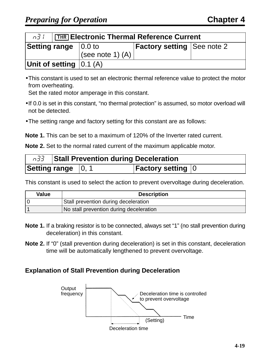|                                             | <b>n3</b> / [THR] Electronic Thermal Reference Current |                    |                                   |  |  |
|---------------------------------------------|--------------------------------------------------------|--------------------|-----------------------------------|--|--|
| <b>Setting range</b> $\vert 0.0 \rangle$ to |                                                        | (see note 1) $(A)$ | <b>Factory setting See note 2</b> |  |  |
| Unit of setting $ 0.1(A) $                  |                                                        |                    |                                   |  |  |

•This constant is used to set an electronic thermal reference value to protect the motor from overheating.

Set the rated motor amperage in this constant.

- •If 0.0 is set in this constant, "no thermal protection" is assumed, so motor overload will not be detected.
- •The setting range and factory setting for this constant are as follows:

**Note 1.** This can be set to a maximum of 120% of the Inverter rated current.

**Note 2.** Set to the normal rated current of the maximum applicable motor.

| n33 Stall Prevention during Deceleration |  |                           |  |
|------------------------------------------|--|---------------------------|--|
| Setting range $\,$  0, 1                 |  | <b>Factory setting  0</b> |  |

This constant is used to select the action to prevent overvoltage during deceleration.

| <b>Value</b> | <b>Description</b>                      |  |  |
|--------------|-----------------------------------------|--|--|
|              | Stall prevention during deceleration    |  |  |
|              | No stall prevention during deceleration |  |  |

- **Note 1.** If a braking resistor is to be connected, always set "1" (no stall prevention during deceleration) in this constant.
- **Note 2.** If "0" (stall prevention during deceleration) is set in this constant, deceleration time will be automatically lengthened to prevent overvoltage.

### **Explanation of Stall Prevention during Deceleration**

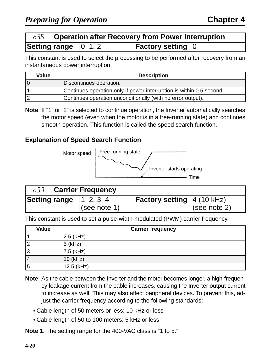|                                              | n35   Operation after Recovery from Power Interruption |
|----------------------------------------------|--------------------------------------------------------|
| <b>Setting range</b> $\vert 0, 1, 2 \rangle$ | <b>Factory setting  0</b>                              |

This constant is used to select the processing to be performed after recovery from an instantaneous power interruption.

| <b>Value</b> | <b>Description</b>                                                   |
|--------------|----------------------------------------------------------------------|
|              | Discontinues operation.                                              |
|              | Continues operation only if power interruption is within 0.5 second. |
|              | Continues operation unconditionally (with no error output).          |

**Note** If "1" or "2" is selected to continue operation, the Inverter automatically searches the motor speed (even when the motor is in a free-running state) and continues smooth operation. This function is called the speed search function.

### **Explanation of Speed Search Function**



| <b>Carrier Frequency</b> |                                                 |                                      |              |
|--------------------------|-------------------------------------------------|--------------------------------------|--------------|
|                          | <b>Setting range</b> $\vert 1, 2, 3, 4 \rangle$ | <b>Factory setting</b> $ 4 (10 kHz)$ |              |
|                          | (see note 1)                                    |                                      | (see note 2) |

This constant is used to set a pulse-width-modulated (PWM) carrier frequency.

| <b>Value</b> | <b>Carrier frequency</b> |
|--------------|--------------------------|
|              | $2.5$ (kHz)              |
|              | $5$ (kHz)                |
| ີ<br>J       | $7.5$ (kHz)              |
| 4            | 10 (kHz)                 |
| 5            | $12.5$ (kHz)             |

- **Note** As the cable between the Inverter and the motor becomes longer, a high-frequency leakage current from the cable increases, causing the Inverter output current to increase as well. This may also affect peripheral devices. To prevent this, adjust the carrier frequency according to the following standards:
	- Cable length of 50 meters or less: 10 kHz or less
	- Cable length of 50 to 100 meters: 5 kHz or less

**Note 1.** The setting range for the 400-VAC class is "1 to 5."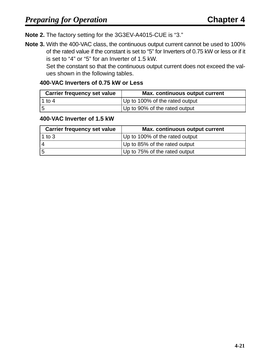**Note 2.** The factory setting for the 3G3EV-A4015-CUE is "3."

**Note 3.** With the 400-VAC class, the continuous output current cannot be used to 100% of the rated value if the constant is set to "5" for Inverters of 0.75 kW or less or if it is set to "4" or "5" for an Inverter of 1.5 kW.

Set the constant so that the continuous output current does not exceed the values shown in the following tables.

### **400-VAC Inverters of 0.75 kW or Less**

| <b>Carrier frequency set value</b> | Max. continuous output current |
|------------------------------------|--------------------------------|
| l 1 to 4                           | Up to 100% of the rated output |
| 15                                 | Up to 90% of the rated output  |

### **400-VAC Inverter of 1.5 kW**

| <b>Carrier frequency set value</b> | <b>Max. continuous output current</b> |
|------------------------------------|---------------------------------------|
| 1 to $3$                           | Up to 100% of the rated output        |
|                                    | Up to 85% of the rated output         |
| 5                                  | Up to 75% of the rated output         |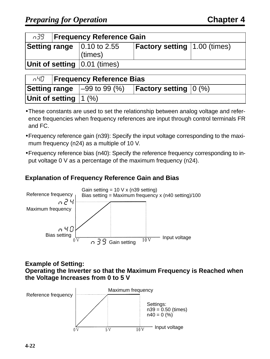|                                                   | n39   Frequency Reference Gain |         |                                     |  |  |
|---------------------------------------------------|--------------------------------|---------|-------------------------------------|--|--|
| <b>Setting range</b> $\vert 0.10 \rangle$ to 2.55 |                                | (times) | <b>Factory setting 1.00 (times)</b> |  |  |
| Unit of setting $(0.01)$ (times)                  |                                |         |                                     |  |  |

|                          |  | nHD <b>Frequency Reference Bias</b>   |                                         |  |  |
|--------------------------|--|---------------------------------------|-----------------------------------------|--|--|
|                          |  | <b>Setting range</b> $ -99$ to 99 (%) | <b>Factory setting</b> $ 0 \rangle$ (%) |  |  |
| Unit of setting $ 1 (%)$ |  |                                       |                                         |  |  |

- •These constants are used to set the relationship between analog voltage and reference frequencies when frequency references are input through control terminals FR and FC.
- •Frequency reference gain (n39): Specify the input voltage corresponding to the maximum frequency (n24) as a multiple of 10 V.
- •Frequency reference bias (n40): Specify the reference frequency corresponding to input voltage 0 V as a percentage of the maximum frequency (n24).

### **Explanation of Frequency Reference Gain and Bias**



### **Example of Setting: Operating the Inverter so that the Maximum Frequency is Reached when the Voltage Increases from 0 to 5 V**

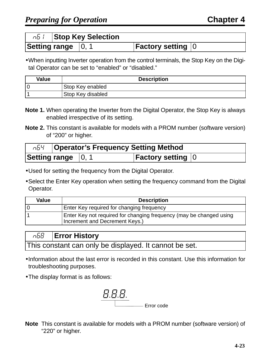| ா6 ர |                                    | <b>Stop Key Selection</b> |                           |  |
|------|------------------------------------|---------------------------|---------------------------|--|
|      | Setting range $\vert 0, 1 \rangle$ |                           | <b>Factory setting 10</b> |  |

•When inputting Inverter operation from the control terminals, the Stop Key on the Digital Operator can be set to "enabled" or "disabled."

| Value | <b>Description</b> |
|-------|--------------------|
|       | Stop Key enabled   |
|       | Stop Key disabled  |

- **Note 1.** When operating the Inverter from the Digital Operator, the Stop Key is always enabled irrespective of its setting.
- **Note 2.** This constant is available for models with a PROM number (software version) of "200" or higher.

| ონ4 - |                                           | <b>Operator's Frequency Setting Method</b> |                                                     |  |
|-------|-------------------------------------------|--------------------------------------------|-----------------------------------------------------|--|
|       | <b>Setting range</b> $\vert 0, 1 \rangle$ |                                            | <b>Factory setting <math>\vert 0 \rangle</math></b> |  |

- •Used for setting the frequency from the Digital Operator.
- •Select the Enter Key operation when setting the frequency command from the Digital Operator.

| <b>Value</b> | <b>Description</b>                                                                                    |
|--------------|-------------------------------------------------------------------------------------------------------|
|              | Enter Key required for changing frequency                                                             |
|              | Enter Key not required for changing frequency (may be changed using<br>Increment and Decrement Keys.) |

|                                                        | $\sqrt{68}$   Error History |
|--------------------------------------------------------|-----------------------------|
| This constant can only be displayed. It cannot be set. |                             |

- •Information about the last error is recorded in this constant. Use this information for troubleshooting purposes.
- •The display format is as follows:



**Note** This constant is available for models with a PROM number (software version) of "220" or higher.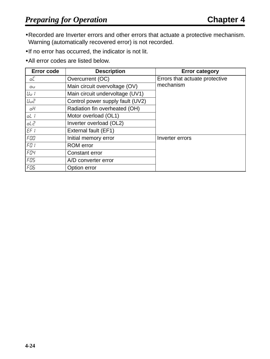- •Recorded are Inverter errors and other errors that actuate a protective mechanism. Warning (automatically recovered error) is not recorded.
- •If no error has occurred, the indicator is not lit.
- •All error codes are listed below.

| <b>Error code</b> | <b>Description</b>               | <b>Error category</b>          |
|-------------------|----------------------------------|--------------------------------|
| oC                | Overcurrent (OC)                 | Errors that actuate protective |
| ்ப                | Main circuit overvoltage (OV)    | mechanism                      |
| Uu I              | Main circuit undervoltage (UV1)  |                                |
| <b>Uud</b>        | Control power supply fault (UV2) |                                |
| οH                | Radiation fin overheated (OH)    |                                |
| oL I              | Motor overload (OL1)             |                                |
| oL 2              | Inverter overload (OL2)          |                                |
| EF/               | External fault (EF1)             |                                |
| FOO               | Initial memory error             | Inverter errors                |
| $F \Box t$        | <b>ROM</b> error                 |                                |
| FO4               | <b>Constant error</b>            |                                |
| FOS               | A/D converter error              |                                |
| FO <sub>5</sub>   | Option error                     |                                |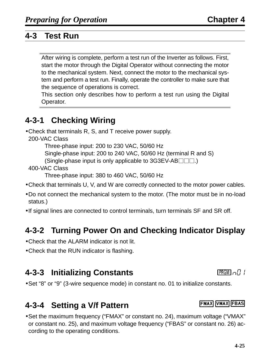# **4-3 Test Run**

After wiring is complete, perform a test run of the Inverter as follows. First, start the motor through the Digital Operator without connecting the motor to the mechanical system. Next, connect the motor to the mechanical system and perform a test run. Finally, operate the controller to make sure that the sequence of operations is correct.

This section only describes how to perform a test run using the Digital Operator.

# **4-3-1 Checking Wiring**

- •Check that terminals R, S, and T receive power supply.
	- 200-VAC Class

Three-phase input: 200 to 230 VAC, 50/60 Hz

Single-phase input: 200 to 240 VAC, 50/60 Hz (terminal R and S)

(Single-phase input is only applicable to  $3G3EV-AB \Box \Box$ .)

400-VAC Class

Three-phase input: 380 to 460 VAC, 50/60 Hz

- •Check that terminals U, V, and W are correctly connected to the motor power cables.
- •Do not connect the mechanical system to the motor. (The motor must be in no-load status.)
- •If signal lines are connected to control terminals, turn terminals SF and SR off.

# **4-3-2 Turning Power On and Checking Indicator Display**

- •Check that the ALARM indicator is not lit.
- •Check that the RUN indicator is flashing.

# **4-3-3 Initializing Constants non-tanal and the PRGM**  $\alpha$ <sup>1</sup>

•Set "8" or "9" (3-wire sequence mode) in constant no. 01 to initialize constants.

# **4-3-4 Setting a V/f Pattern**

•Set the maximum frequency ("FMAX" or constant no. 24), maximum voltage ("VMAX" or constant no. 25), and maximum voltage frequency ("FBAS" or constant no. 26) according to the operating conditions.

### **FMAX VMAX FBAS**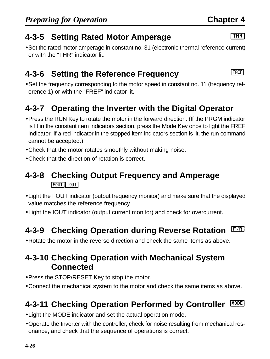# **4-3-5 Setting Rated Motor Amperage**

•Set the rated motor amperage in constant no. 31 (electronic thermal reference current) or with the "THR" indicator lit.

# **4-3-6 Setting the Reference Frequency**

•Set the frequency corresponding to the motor speed in constant no. 11 (frequency reference 1) or with the "FREF" indicator lit.

# **4-3-7 Operating the Inverter with the Digital Operator**

- •Press the RUN Key to rotate the motor in the forward direction. (If the PRGM indicator is lit in the constant item indicators section, press the Mode Key once to light the FREF indicator. If a red indicator in the stopped item indicators section is lit, the run command cannot be accepted.)
- •Check that the motor rotates smoothly without making noise.
- •Check that the direction of rotation is correct.

# **4-3-8 Checking Output Frequency and Amperage**  $FOUT|[100T]$

- •Light the FOUT indicator (output frequency monitor) and make sure that the displayed value matches the reference frequency.
- •Light the IOUT indicator (output current monitor) and check for overcurrent.

# **4-3-9 Checking Operation during Reverse Rotation**

•Rotate the motor in the reverse direction and check the same items as above.

# **4-3-10 Checking Operation with Mechanical System Connected**

- •Press the STOP/RESET Key to stop the motor.
- •Connect the mechanical system to the motor and check the same items as above.

### **4-3-11 Checking Operation Performed by Controller** MODE

- •Light the MODE indicator and set the actual operation mode.
- •Operate the Inverter with the controller, check for noise resulting from mechanical resonance, and check that the sequence of operations is correct.

### $\sqrt{THR}$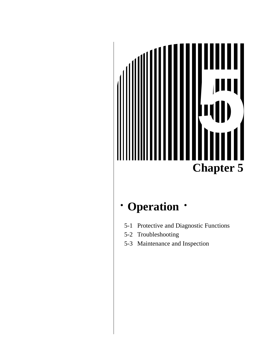# **Chapter 5 5**

# **· Operation ·**

- 5-1 Protective and Diagnostic Functions
- 5-2 Troubleshooting
- 5-3 Maintenance and Inspection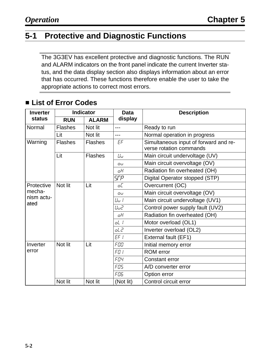# **5-1 Protective and Diagnostic Functions**

The 3G3EV has excellent protective and diagnostic functions. The RUN and ALARM indicators on the front panel indicate the current Inverter status, and the data display section also displays information about an error that has occurred. These functions therefore enable the user to take the appropriate actions to correct most errors.

| <b>Inverter</b>              | <b>Indicator</b> |                | <b>Data</b> | <b>Description</b>                                               |  |
|------------------------------|------------------|----------------|-------------|------------------------------------------------------------------|--|
| <b>status</b>                | <b>RUN</b>       | <b>ALARM</b>   | display     |                                                                  |  |
| Normal                       | <b>Flashes</b>   | Not lit        | ---         | Ready to run                                                     |  |
|                              | Lit              | Not lit        | ---         | Normal operation in progress                                     |  |
| Warning                      | <b>Flashes</b>   | <b>Flashes</b> | EF          | Simultaneous input of forward and re-<br>verse rotation commands |  |
|                              | Lit              | <b>Flashes</b> | $U_U$       | Main circuit undervoltage (UV)                                   |  |
|                              |                  |                | Oυ          | Main circuit overvoltage (OV)                                    |  |
|                              |                  |                | οH          | Radiation fin overheated (OH)                                    |  |
|                              |                  |                | <b>SFP</b>  | Digital Operator stopped (STP)                                   |  |
| Protective                   | Not lit          | Lit            | oC          | Overcurrent (OC)                                                 |  |
| mecha-<br>nism actu-<br>ated |                  |                | Oυ          | Main circuit overvoltage (OV)                                    |  |
|                              |                  |                | Uu I        | Main circuit undervoltage (UV1)                                  |  |
|                              |                  |                | Uu2         | Control power supply fault (UV2)                                 |  |
|                              |                  |                | οH          | Radiation fin overheated (OH)                                    |  |
|                              |                  |                | oL I        | Motor overload (OL1)                                             |  |
|                              |                  |                | oL 2        | Inverter overload (OL2)                                          |  |
|                              |                  |                | EF/         | External fault (EF1)                                             |  |
| Inverter                     | Not lit          | Lit            | FOO         | Initial memory error                                             |  |
| error                        |                  |                | FD I        | <b>ROM</b> error                                                 |  |
|                              |                  |                | FOY         | Constant error                                                   |  |
|                              |                  |                | FOS         | A/D converter error                                              |  |
|                              |                  |                | FO6         | Option error                                                     |  |
|                              | Not lit          | Not lit        | (Not lit)   | Control circuit error                                            |  |

# ■ List of Error Codes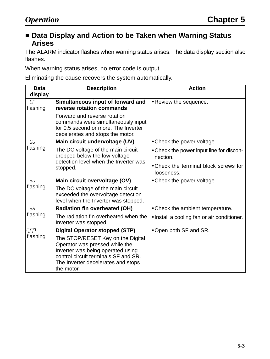### ■ Data Display and Action to be Taken when Warning Status **Arises**

The ALARM indicator flashes when warning status arises. The data display section also flashes.

When warning status arises, no error code is output.

Eliminating the cause recovers the system automatically.

| <b>Data</b><br>display | <b>Description</b>                                                                                                                                                                                   | <b>Action</b>                                        |
|------------------------|------------------------------------------------------------------------------------------------------------------------------------------------------------------------------------------------------|------------------------------------------------------|
| EF<br>flashing         | Simultaneous input of forward and<br>reverse rotation commands                                                                                                                                       | • Review the sequence.                               |
|                        | Forward and reverse rotation<br>commands were simultaneously input<br>for 0.5 second or more. The Inverter<br>decelerates and stops the motor.                                                       |                                                      |
| Ши                     | Main circuit undervoltage (UV)                                                                                                                                                                       | • Check the power voltage.                           |
| flashing               | The DC voltage of the main circuit<br>dropped below the low-voltage                                                                                                                                  | • Check the power input line for discon-<br>nection. |
|                        | detection level when the Inverter was<br>stopped.                                                                                                                                                    | • Check the terminal block screws for<br>looseness.  |
| OЦ                     | Main circuit overvoltage (OV)                                                                                                                                                                        | • Check the power voltage.                           |
| flashing               | The DC voltage of the main circuit<br>exceeded the overvoltage detection<br>level when the Inverter was stopped.                                                                                     |                                                      |
| oН                     | <b>Radiation fin overheated (OH)</b>                                                                                                                                                                 | • Check the ambient temperature.                     |
| flashing               | The radiation fin overheated when the<br>Inverter was stopped.                                                                                                                                       | • Install a cooling fan or air conditioner.          |
| 5FP                    | <b>Digital Operator stopped (STP)</b>                                                                                                                                                                | • Open both SF and SR.                               |
| flashing               | The STOP/RESET Key on the Digital<br>Operator was pressed while the<br>Inverter was being operated using<br>control circuit terminals SF and SR.<br>The Inverter decelerates and stops<br>the motor. |                                                      |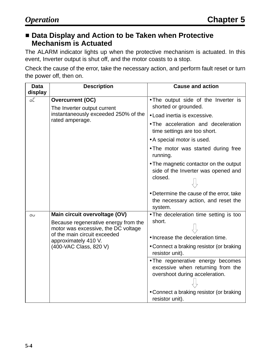### ■ Data Display and Action to be Taken when Protective **Mechanism is Actuated**

The ALARM indicator lights up when the protective mechanism is actuated. In this event, Inverter output is shut off, and the motor coasts to a stop.

Check the cause of the error, take the necessary action, and perform fault reset or turn the power off, then on.

| <b>Data</b> | <b>Description</b>                                                                                                                                            | <b>Cause and action</b>                                                                                                                              |
|-------------|---------------------------------------------------------------------------------------------------------------------------------------------------------------|------------------------------------------------------------------------------------------------------------------------------------------------------|
| display     |                                                                                                                                                               |                                                                                                                                                      |
| οE          | <b>Overcurrent (OC)</b><br>The Inverter output current<br>instantaneously exceeded 250% of the<br>rated amperage.                                             | . The output side of the Inverter is<br>shorted or grounded.                                                                                         |
|             |                                                                                                                                                               | • Load inertia is excessive.                                                                                                                         |
|             |                                                                                                                                                               | . The acceleration and deceleration<br>time settings are too short.                                                                                  |
|             |                                                                                                                                                               | • A special motor is used.                                                                                                                           |
|             |                                                                                                                                                               | . The motor was started during free<br>running.                                                                                                      |
|             |                                                                                                                                                               | • The magnetic contactor on the output<br>side of the Inverter was opened and<br>closed.                                                             |
|             |                                                                                                                                                               | • Determine the cause of the error, take<br>the necessary action, and reset the<br>system.                                                           |
| Oυ          | Main circuit overvoltage (OV)                                                                                                                                 | • The deceleration time setting is too                                                                                                               |
|             | Because regenerative energy from the<br>motor was excessive, the DC voltage<br>of the main circuit exceeded<br>approximately 410 V.<br>(400-VAC Class, 820 V) | short.<br>• Increase the deceleration time.                                                                                                          |
|             |                                                                                                                                                               | • Connect a braking resistor (or braking<br>resistor unit).                                                                                          |
|             |                                                                                                                                                               | • The regenerative energy becomes<br>excessive when returning from the<br>overshoot during acceleration.<br>• Connect a braking resistor (or braking |
|             |                                                                                                                                                               | resistor unit).                                                                                                                                      |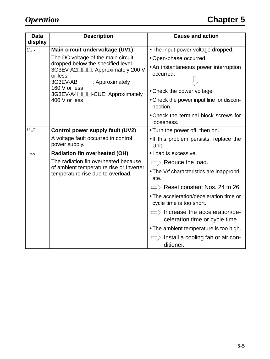| <b>Data</b> | <b>Description</b>                                                                                                          | <b>Cause and action</b>                                                    |
|-------------|-----------------------------------------------------------------------------------------------------------------------------|----------------------------------------------------------------------------|
| display     |                                                                                                                             |                                                                            |
| Uu I        | Main circuit undervoltage (UV1)                                                                                             | • The input power voltage dropped.                                         |
|             | The DC voltage of the main circuit                                                                                          | · Open-phase occurred.                                                     |
|             | dropped below the specified level.<br>3G3EV-A2□□□: Approximately 200 V<br>or less<br>3G3EV-AB <sub>□□</sub> : Approximately | • An instantaneous power interruption<br>occurred.                         |
|             | 160 V or less<br>3G3EV-A4□□□-CUE: Approximately                                                                             | • Check the power voltage.                                                 |
|             | 400 V or less                                                                                                               | • Check the power input line for discon-<br>nection.                       |
|             |                                                                                                                             | • Check the terminal block screws for<br>looseness.                        |
| Uud         | Control power supply fault (UV2)                                                                                            | • Turn the power off, then on.                                             |
|             | A voltage fault occurred in control<br>power supply.                                                                        | . If this problem persists, replace the<br>Unit.                           |
| oΗ          | <b>Radiation fin overheated (OH)</b>                                                                                        | • Load is excessive.                                                       |
|             | The radiation fin overheated because<br>of ambient temperature rise or Inverter<br>temperature rise due to overload.        | $\Rightarrow$ Reduce the load.                                             |
|             |                                                                                                                             | • The V/f characteristics are inappropri-<br>ate.                          |
|             |                                                                                                                             | $\Rightarrow$ Reset constant Nos. 24 to 26.                                |
|             |                                                                                                                             | • The acceleration/deceleration time or<br>cycle time is too short.        |
|             |                                                                                                                             | $\implies$ Increase the acceleration/de-<br>celeration time or cycle time. |
|             |                                                                                                                             | • The ambient temperature is too high.                                     |
|             |                                                                                                                             | $\Rightarrow$ Install a cooling fan or air con-<br>ditioner.               |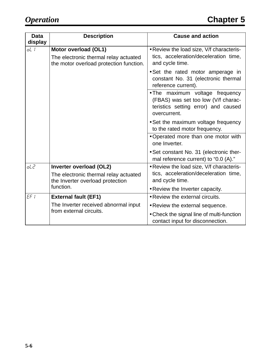| <b>Data</b><br>display | <b>Description</b>                                                                                       | <b>Cause and action</b>                                                                                                       |
|------------------------|----------------------------------------------------------------------------------------------------------|-------------------------------------------------------------------------------------------------------------------------------|
| oL I                   | Motor overload (OL1)<br>The electronic thermal relay actuated<br>the motor overload protection function. | . Review the load size, V/f characteris-<br>tics, acceleration/deceleration time,<br>and cycle time.                          |
|                        |                                                                                                          | • Set the rated motor amperage in<br>constant No. 31 (electronic thermal<br>reference current).                               |
|                        |                                                                                                          | . The maximum voltage frequency<br>(FBAS) was set too low (V/f charac-<br>teristics setting error) and caused<br>overcurrent. |
|                        |                                                                                                          | • Set the maximum voltage frequency<br>to the rated motor frequency.                                                          |
|                        |                                                                                                          | • Operated more than one motor with<br>one Inverter.                                                                          |
|                        |                                                                                                          | • Set constant No. 31 (electronic ther-<br>mal reference current) to "0.0 (A)."                                               |
| oL 2                   | Inverter overload (OL2)                                                                                  | . Review the load size, V/f characteris-                                                                                      |
|                        | The electronic thermal relay actuated<br>the Inverter overload protection                                | tics, acceleration/deceleration time,<br>and cycle time.                                                                      |
|                        | function.                                                                                                | • Review the Inverter capacity.                                                                                               |
| $EF$ $I$               | <b>External fault (EF1)</b>                                                                              | • Review the external circuits.                                                                                               |
|                        | The Inverter received abnormal input                                                                     | • Review the external sequence.                                                                                               |
|                        | from external circuits.                                                                                  | • Check the signal line of multi-function<br>contact input for disconnection.                                                 |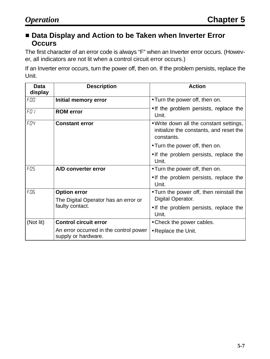### ■ Data Display and Action to be Taken when Inverter Error **Occurs**

The first character of an error code is always "F" when an Inverter error occurs. (However, all indicators are not lit when a control circuit error occurs.)

If an Inverter error occurs, turn the power off, then on. If the problem persists, replace the Unit.

| <b>Data</b><br>display | <b>Description</b>                                            | <b>Action</b>                                                                                    |
|------------------------|---------------------------------------------------------------|--------------------------------------------------------------------------------------------------|
| FOO                    | Initial memory error                                          | • Turn the power off, then on.                                                                   |
| FD I                   | <b>ROM</b> error                                              | • If the problem persists, replace the<br>Unit.                                                  |
| FO4                    | <b>Constant error</b>                                         | . Write down all the constant settings,<br>initialize the constants, and reset the<br>constants. |
|                        |                                                               | • Turn the power off, then on.                                                                   |
|                        |                                                               | • If the problem persists, replace the<br>Unit.                                                  |
| FOS.                   | A/D converter error                                           | • Turn the power off, then on.                                                                   |
|                        |                                                               | • If the problem persists, replace the<br>Unit.                                                  |
| FO6                    | <b>Option error</b>                                           | • Turn the power off, then reinstall the                                                         |
|                        | The Digital Operator has an error or                          | Digital Operator.                                                                                |
|                        | faulty contact.                                               | • If the problem persists, replace the<br>Unit.                                                  |
| (Not lit)              | <b>Control circuit error</b>                                  | • Check the power cables.                                                                        |
|                        | An error occurred in the control power<br>supply or hardware. | • Replace the Unit.                                                                              |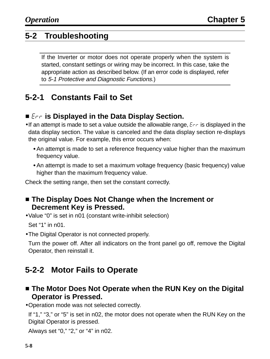# **5-2 Troubleshooting**

If the Inverter or motor does not operate properly when the system is started, constant settings or wiring may be incorrect. In this case, take the appropriate action as described below. (If an error code is displayed, refer to 5-1 Protective and Diagnostic Functions.)

# **5-2-1 Constants Fail to Set**

# **E** Erris Displayed in the Data Display Section.

- If an attempt is made to set a value outside the allowable range,  $E_{\text{RF}}$  is displayed in the data display section. The value is canceled and the data display section re-displays the original value. For example, this error occurs when:
	- An attempt is made to set a reference frequency value higher than the maximum frequency value.
	- An attempt is made to set a maximum voltage frequency (basic frequency) value higher than the maximum frequency value.

Check the setting range, then set the constant correctly.

- **Example The Display Does Not Change when the Increment or Decrement Key is Pressed.**
- •Value "0" is set in n01 (constant write-inhibit selection) Set "1" in n01.
- •The Digital Operator is not connected properly.

Turn the power off. After all indicators on the front panel go off, remove the Digital Operator, then reinstall it.

# **5-2-2 Motor Fails to Operate**

- **Example The Motor Does Not Operate when the RUN Key on the Digital Operator is Pressed.**
- •Operation mode was not selected correctly.

If "1," "3," or "5" is set in n02, the motor does not operate when the RUN Key on the Digital Operator is pressed.

Always set "0," "2," or "4" in n02.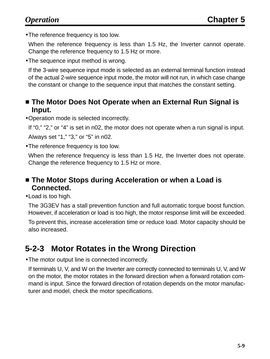•The reference frequency is too low.

When the reference frequency is less than 1.5 Hz, the Inverter cannot operate. Change the reference frequency to 1.5 Hz or more.

•The sequence input method is wrong.

If the 3-wire sequence input mode is selected as an external terminal function instead of the actual 2-wire sequence input mode, the motor will not run, in which case change the constant or change to the sequence input that matches the constant setting.

### **External Runds** The Moto Sperate when an External Run Signal is **Input.**

•Operation mode is selected incorrectly.

If "0," "2," or "4" is set in n02, the motor does not operate when a run signal is input. Always set "1," "3," or "5" in n02.

•The reference frequency is too low.

When the reference frequency is less than 1.5 Hz, the Inverter does not operate. Change the reference frequency to 1.5 Hz or more.

### **Example The Motor Stops during Acceleration or when a Load is Connected.**

•Load is too high.

The 3G3EV has a stall prevention function and full automatic torque boost function. However, if acceleration or load is too high, the motor response limit will be exceeded.

To prevent this, increase acceleration time or reduce load. Motor capacity should be also increased.

# **5-2-3 Motor Rotates in the Wrong Direction**

•The motor output line is connected incorrectly.

If terminals U, V, and W on the Inverter are correctly connected to terminals U, V, and W on the motor, the motor rotates in the forward direction when a forward rotation command is input. Since the forward direction of rotation depends on the motor manufacturer and model, check the motor specifications.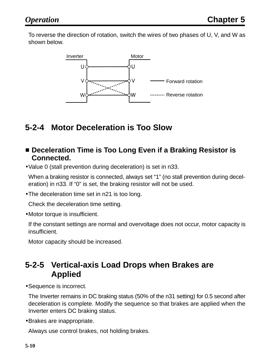To reverse the direction of rotation, switch the wires of two phases of U, V, and W as shown below.



# **5-2-4 Motor Deceleration is Too Slow**

- **E** Deceleration Time is Too Long Even if a Braking Resistor is **Connected.**
- •Value 0 (stall prevention during deceleration) is set in n33.

When a braking resistor is connected, always set "1" (no stall prevention during deceleration) in n33. If "0" is set, the braking resistor will not be used.

•The deceleration time set in n21 is too long.

Check the deceleration time setting.

•Motor torque is insufficient.

If the constant settings are normal and overvoltage does not occur, motor capacity is insufficient.

Motor capacity should be increased.

# **5-2-5 Vertical-axis Load Drops when Brakes are Applied**

•Sequence is incorrect.

The Inverter remains in DC braking status (50% of the n31 setting) for 0.5 second after deceleration is complete. Modify the sequence so that brakes are applied when the Inverter enters DC braking status.

•Brakes are inappropriate.

Always use control brakes, not holding brakes.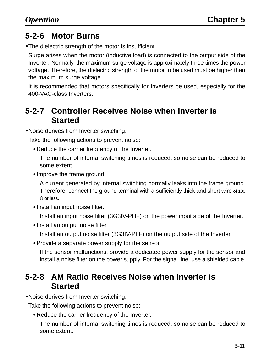# **5-2-6 Motor Burns**

•The dielectric strength of the motor is insufficient.

Surge arises when the motor (inductive load) is connected to the output side of the Inverter. Normally, the maximum surge voltage is approximately three times the power voltage. Therefore, the dielectric strength of the motor to be used must be higher than the maximum surge voltage.

It is recommended that motors specifically for Inverters be used, especially for the 400-VAC-class Inverters.

# **5-2-7 Controller Receives Noise when Inverter is Started**

•Noise derives from Inverter switching.

Take the following actions to prevent noise:

Reduce the carrier frequency of the Inverter.

The number of internal switching times is reduced, so noise can be reduced to some extent.

• Improve the frame ground.

A current generated by internal switching normally leaks into the frame ground. Therefore, connect the ground terminal with a sufficiently thick and short wire of 100 Ω or less.

• Install an input noise filter.

Install an input noise filter (3G3IV-PHF) on the power input side of the Inverter.

• Install an output noise filter.

Install an output noise filter (3G3IV-PLF) on the output side of the Inverter.

Provide a separate power supply for the sensor.

If the sensor malfunctions, provide a dedicated power supply for the sensor and install a noise filter on the power supply. For the signal line, use a shielded cable.

# **5-2-8 AM Radio Receives Noise when Inverter is Started**

•Noise derives from Inverter switching.

Take the following actions to prevent noise:

Reduce the carrier frequency of the Inverter.

The number of internal switching times is reduced, so noise can be reduced to some extent.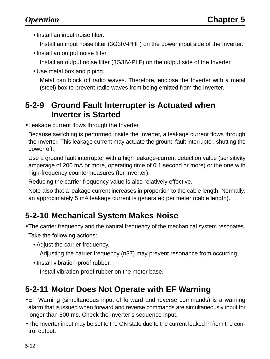• Install an input noise filter.

Install an input noise filter (3G3IV-PHF) on the power input side of the Inverter.

• Install an output noise filter.

Install an output noise filter (3G3IV-PLF) on the output side of the Inverter.

Use metal box and piping.

Metal can block off radio waves. Therefore, enclose the Inverter with a metal (steel) box to prevent radio waves from being emitted from the Inverter.

# **5-2-9 Ground Fault Interrupter is Actuated when Inverter is Started**

•Leakage current flows through the Inverter.

Because switching is performed inside the Inverter, a leakage current flows through the Inverter. This leakage current may actuate the ground fault interrupter, shutting the power off.

Use a ground fault interrupter with a high leakage-current detection value (sensitivity amperage of 200 mA or more, operating time of 0.1 second or more) or the one with high-frequency countermeasures (for Inverter).

Reducing the carrier frequency value is also relatively effective.

Note also that a leakage current increases in proportion to the cable length. Normally, an approximately 5 mA leakage current is generated per meter (cable length).

# **5-2-10 Mechanical System Makes Noise**

- •The carrier frequency and the natural frequency of the mechanical system resonates. Take the following actions:
	- Adjust the carrier frequency.

Adjusting the carrier frequency (n37) may prevent resonance from occurring.

• Install vibration-proof rubber. Install vibration-proof rubber on the motor base.

# **5-2-11 Motor Does Not Operate with EF Warning**

- •EF Warning (simultaneous input of forward and reverse commands) is a warning alarm that is issued when forward and reverse commands are simultaneously input for longer than 500 ms. Check the Inverter's sequence input.
- •The Inverter input may be set to the ON state due to the current leaked in from the control output.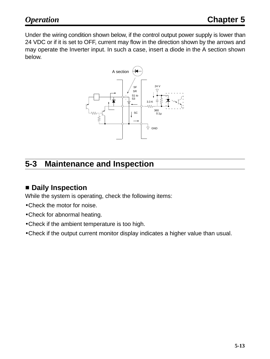Under the wiring condition shown below, if the control output power supply is lower than 24 VDC or if it is set to OFF, current may flow in the direction shown by the arrows and may operate the Inverter input. In such a case, insert a diode in the A section shown below.



# **5-3 Maintenance and Inspection**

# - **Daily Inspection**

While the system is operating, check the following items:

- •Check the motor for noise.
- •Check for abnormal heating.
- •Check if the ambient temperature is too high.
- •Check if the output current monitor display indicates a higher value than usual.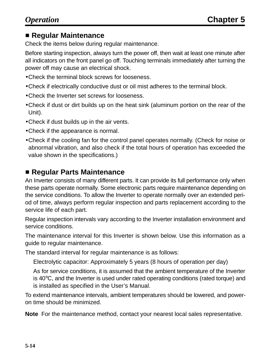# - **Regular Maintenance**

Check the items below during regular maintenance.

Before starting inspection, always turn the power off, then wait at least one minute after all indicators on the front panel go off. Touching terminals immediately after turning the power off may cause an electrical shock.

- •Check the terminal block screws for looseness.
- •Check if electrically conductive dust or oil mist adheres to the terminal block.
- •Check the Inverter set screws for looseness.
- •Check if dust or dirt builds up on the heat sink (aluminum portion on the rear of the Unit).
- •Check if dust builds up in the air vents.
- •Check if the appearance is normal.
- •Check if the cooling fan for the control panel operates normally. (Check for noise or abnormal vibration, and also check if the total hours of operation has exceeded the value shown in the specifications.)

### - **Regular Parts Maintenance**

An Inverter consists of many different parts. It can provide its full performance only when these parts operate normally. Some electronic parts require maintenance depending on the service conditions. To allow the Inverter to operate normally over an extended period of time, always perform regular inspection and parts replacement according to the service life of each part.

Regular inspection intervals vary according to the Inverter installation environment and service conditions.

The maintenance interval for this Inverter is shown below. Use this information as a guide to regular maintenance.

The standard interval for regular maintenance is as follows:

Electrolytic capacitor: Approximately 5 years (8 hours of operation per day)

As for service conditions, it is assumed that the ambient temperature of the Inverter is 40°C, and the Inverter is used under rated operating conditions (rated torque) and is installed as specified in the User's Manual.

To extend maintenance intervals, ambient temperatures should be lowered, and poweron time should be minimized.

**Note** For the maintenance method, contact your nearest local sales representative.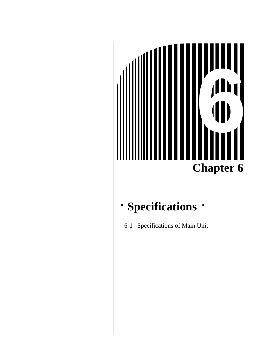# **Chapter 6 1999**

#### **Specifications**  $\bullet$

6-1 Specifications of Main Unit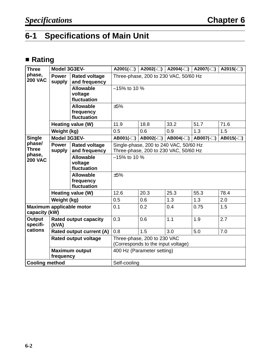# **6-1 Specifications of Main Unit**

#### - **Rating**

| <b>Three</b>                                       | A2001(- $\Box$ )<br>$A2002(-))   A2004(-)  $<br>A2007 $(-)$<br>Model 3G3EV- |                                              |                                                                                 |                                       |            |            | A2015 $(-)$ |
|----------------------------------------------------|-----------------------------------------------------------------------------|----------------------------------------------|---------------------------------------------------------------------------------|---------------------------------------|------------|------------|-------------|
| phase,<br><b>200 VAC</b>                           | <b>Power</b><br>supply                                                      | <b>Rated voltage</b><br>and frequency        |                                                                                 | Three-phase, 200 to 230 VAC, 50/60 Hz |            |            |             |
|                                                    |                                                                             | <b>Allowable</b><br>voltage<br>fluctuation   | $-15\%$ to 10 %                                                                 |                                       |            |            |             |
|                                                    |                                                                             | <b>Allowable</b><br>frequency<br>fluctuation | ±5%                                                                             |                                       |            |            |             |
|                                                    |                                                                             | Heating value (W)                            | 11.9                                                                            | 18.8                                  | 33.2       | 51.7       | 71.6        |
|                                                    | Weight (kg)                                                                 |                                              | 0.5                                                                             | 0.6                                   | 0.9        | 1.3        | 1.5         |
| <b>Single</b>                                      | Model 3G3EV-                                                                |                                              | $AB001(-)$                                                                      | $AB002(-)$                            | $AB004(-)$ | $AB007(-)$ | AB015 $(-)$ |
| phase/<br><b>Three</b><br>phase,<br><b>200 VAC</b> | <b>Power</b><br>supply                                                      | <b>Rated voltage</b><br>and frequency        | Single-phase, 200 to 240 VAC, 50/60 Hz<br>Three-phase, 200 to 230 VAC, 50/60 Hz |                                       |            |            |             |
|                                                    |                                                                             | <b>Allowable</b><br>voltage<br>fluctuation   | $-15\%$ to 10 %                                                                 |                                       |            |            |             |
|                                                    |                                                                             | <b>Allowable</b><br>frequency<br>fluctuation | ±5%                                                                             |                                       |            |            |             |
|                                                    |                                                                             | Heating value (W)                            | 12.6                                                                            | 20.3                                  | 25.3       | 55.3       | 78.4        |
|                                                    | Weight (kg)                                                                 |                                              | 0.5                                                                             | 0.6                                   | 1.3        | 1.3        | 2.0         |
| Maximum applicable motor<br>capacity (kW)          |                                                                             |                                              | 0.1                                                                             | 0.2                                   | 0.4        | 0.75       | 1.5         |
| <b>Output</b><br>specifi-                          | (kVA)                                                                       | <b>Rated output capacity</b>                 | 0.3                                                                             | 0.6                                   | 1.1        | 1.9        | 2.7         |
| cations                                            |                                                                             | Rated output current (A)                     | 0.8                                                                             | 1.5                                   | 3.0        | 5.0        | 7.0         |
|                                                    | <b>Rated output voltage</b>                                                 |                                              | Three-phase, 200 to 230 VAC<br>(Corresponds to the input voltage)               |                                       |            |            |             |
|                                                    | <b>Maximum output</b><br>frequency                                          |                                              |                                                                                 | 400 Hz (Parameter setting)            |            |            |             |
| <b>Cooling method</b>                              |                                                                             | Self-cooling                                 |                                                                                 |                                       |            |            |             |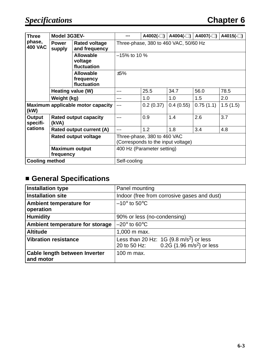| <b>Three</b>                              | Model 3G3EV-                          |                                              |                                                                   | A4002(- $\square$ ) | A4004(-□) | A4007 $(-)$ | A4015 $(-)$ |
|-------------------------------------------|---------------------------------------|----------------------------------------------|-------------------------------------------------------------------|---------------------|-----------|-------------|-------------|
| phase,<br><b>400 VAC</b>                  | <b>Power</b><br>supply                | <b>Rated voltage</b><br>and frequency        | Three-phase, 380 to 460 VAC, 50/60 Hz                             |                     |           |             |             |
|                                           |                                       | <b>Allowable</b><br>voltage<br>fluctuation   | $-15\%$ to 10 $\%$<br>±5%                                         |                     |           |             |             |
|                                           |                                       | <b>Allowable</b><br>frequency<br>fluctuation |                                                                   |                     |           |             |             |
| Heating value (W)                         |                                       |                                              | 25.5                                                              | 34.7                | 56.0      | 78.5        |             |
|                                           | Weight (kg)                           |                                              |                                                                   | 1.0                 | 1.0       | 1.5         | 2.0         |
| Maximum applicable motor capacity<br>(kW) |                                       |                                              | 0.2(0.37)                                                         | 0.4(0.55)           | 0.75(1.1) | 1.5(1.5)    |             |
| Output<br>specifi-                        | <b>Rated output capacity</b><br>(kVA) |                                              |                                                                   | 0.9                 | 1.4       | 2.6         | 3.7         |
| cations                                   | Rated output current (A)              |                                              |                                                                   | 1.2                 | 1.8       | 3.4         | 4.8         |
|                                           | <b>Rated output voltage</b>           |                                              | Three-phase, 380 to 460 VAC<br>(Corresponds to the input voltage) |                     |           |             |             |
|                                           | <b>Maximum output</b><br>frequency    |                                              | 400 Hz (Parameter setting)                                        |                     |           |             |             |
| <b>Cooling method</b>                     |                                       | Self-cooling                                 |                                                                   |                     |           |             |             |

#### - **General Specifications**

| <b>Installation type</b>                    | Panel mounting                                                                                              |
|---------------------------------------------|-------------------------------------------------------------------------------------------------------------|
| <b>Installation site</b>                    | Indoor (free from corrosive gases and dust)                                                                 |
| <b>Ambient temperature for</b><br>operation | $-10^{\circ}$ to 50 $^{\circ}$ C                                                                            |
| <b>Humidity</b>                             | 90% or less (no-condensing)                                                                                 |
| Ambient temperature for storage             | $-20^\circ$ to 60 $^\circ$ C                                                                                |
| <b>Altitude</b>                             | 1,000 m max.                                                                                                |
| <b>Vibration resistance</b>                 | Less than 20 Hz: $1G$ {9.8 m/s <sup>2</sup> } or less<br>20 to 50 Hz: 0.2G {1.96 m/s <sup>2</sup> } or less |
| Cable length between Inverter<br>and motor  | 100 m max.                                                                                                  |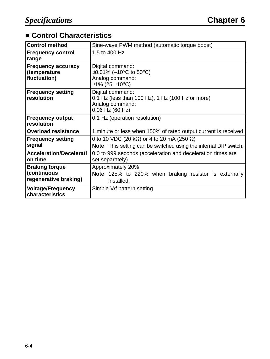#### ■ Control Characteristics

| <b>Control method</b>                                         | Sine-wave PWM method (automatic torque boost)                                                                        |  |  |
|---------------------------------------------------------------|----------------------------------------------------------------------------------------------------------------------|--|--|
| <b>Frequency control</b><br>range                             | 1.5 to 400 Hz                                                                                                        |  |  |
| <b>Frequency accuracy</b><br>(temperature<br>fluctuation)     | Digital command:<br>$\pm 0.01\%$ (–10°C to 50°C)<br>Analog command:<br>$\pm$ 1% (25 $\pm$ 10°C)                      |  |  |
| <b>Frequency setting</b><br>resolution                        | Digital command:<br>0.1 Hz (less than 100 Hz), 1 Hz (100 Hz or more)<br>Analog command:<br>$0.06$ Hz $(60$ Hz)       |  |  |
| <b>Frequency output</b><br>resolution                         | 0.1 Hz (operation resolution)                                                                                        |  |  |
| <b>Overload resistance</b>                                    | 1 minute or less when 150% of rated output current is received                                                       |  |  |
| <b>Frequency setting</b><br>signal                            | 0 to 10 VDC (20 kΩ) or 4 to 20 mA (250 Ω)<br><b>Note</b> This setting can be switched using the internal DIP switch. |  |  |
| <b>Acceleration/Decelerati</b><br>on time                     | 0.0 to 999 seconds (acceleration and deceleration times are<br>set separately)                                       |  |  |
| <b>Braking torque</b><br>(continuous<br>regenerative braking) | Approximately 20%<br>Note 125% to 220% when braking resistor is externally<br>installed.                             |  |  |
| <b>Voltage/Frequency</b><br>characteristics                   | Simple V/f pattern setting                                                                                           |  |  |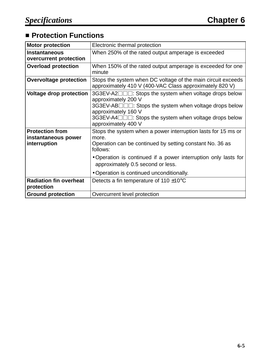#### **E** Protection Functions

| <b>Motor protection</b>                                       | Electronic thermal protection                                                                                                                                                                                                                                                                       |
|---------------------------------------------------------------|-----------------------------------------------------------------------------------------------------------------------------------------------------------------------------------------------------------------------------------------------------------------------------------------------------|
| <b>Instantaneous</b><br>overcurrent protection                | When 250% of the rated output amperage is exceeded                                                                                                                                                                                                                                                  |
| <b>Overload protection</b>                                    | When 150% of the rated output amperage is exceeded for one<br>minute                                                                                                                                                                                                                                |
| <b>Overvoltage protection</b>                                 | Stops the system when DC voltage of the main circuit exceeds<br>approximately 410 V (400-VAC Class approximately 820 V)                                                                                                                                                                             |
| <b>Voltage drop protection</b>                                | 3G3EV-A2 $\square\square\square$ : Stops the system when voltage drops below<br>approximately 200 V<br>3G3EV-AB□□□: Stops the system when voltage drops below<br>approximately 160 V<br>3G3EV-A4□□□: Stops the system when voltage drops below<br>approximately 400 V                               |
| <b>Protection from</b><br>instantaneous power<br>interruption | Stops the system when a power interruption lasts for 15 ms or<br>more.<br>Operation can be continued by setting constant No. 36 as<br>follows:<br>• Operation is continued if a power interruption only lasts for<br>approximately 0.5 second or less.<br>• Operation is continued unconditionally. |
| <b>Radiation fin overheat</b><br>protection                   | Detects a fin temperature of 110 $\pm$ 10 $\rm{°C}$                                                                                                                                                                                                                                                 |
| <b>Ground protection</b>                                      | Overcurrent level protection                                                                                                                                                                                                                                                                        |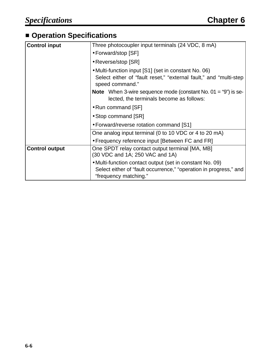#### **E** Operation Specifications

| <b>Control input</b>  | Three photocoupler input terminals (24 VDC, 8 mA)                                                                                                      |  |  |
|-----------------------|--------------------------------------------------------------------------------------------------------------------------------------------------------|--|--|
|                       | • Forward/stop [SF]                                                                                                                                    |  |  |
|                       | • Reverse/stop [SR]                                                                                                                                    |  |  |
|                       | • Multi-function input [S1] (set in constant No. 06)<br>Select either of "fault reset," "external fault," and "multi-step<br>speed command."           |  |  |
|                       | <b>Note</b> When 3-wire sequence mode (constant No. $01 = "9"$ ) is se-<br>lected, the terminals become as follows:                                    |  |  |
|                       | • Run command [SF]                                                                                                                                     |  |  |
|                       | • Stop command [SR]                                                                                                                                    |  |  |
|                       | • Forward/reverse rotation command [S1]                                                                                                                |  |  |
|                       | One analog input terminal (0 to 10 VDC or 4 to 20 mA)                                                                                                  |  |  |
|                       | • Frequency reference input [Between FC and FR]                                                                                                        |  |  |
| <b>Control output</b> | One SPDT relay contact output terminal [MA, MB]<br>(30 VDC and 1A; 250 VAC and 1A)                                                                     |  |  |
|                       | • Multi-function contact output (set in constant No. 09)<br>Select either of "fault occurrence," "operation in progress," and<br>"frequency matching." |  |  |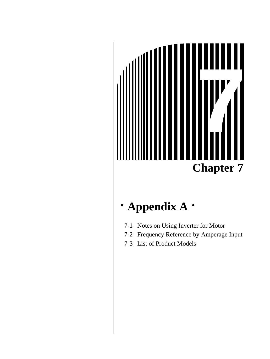

#### **Appendix A**  $\bullet$

- 7-1 Notes on Using Inverter for Motor
- 7-2 Frequency Reference by Amperage Input
- 7-3 List of Product Models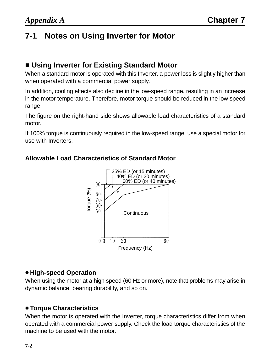# **7-1 Notes on Using Inverter for Motor**

#### **E** Using Inverter for Existing Standard Motor

When a standard motor is operated with this Inverter, a power loss is slightly higher than when operated with a commercial power supply.

In addition, cooling effects also decline in the low-speed range, resulting in an increase in the motor temperature. Therefore, motor torque should be reduced in the low speed range.

The figure on the right-hand side shows allowable load characteristics of a standard motor.

If 100% torque is continuously required in the low-speed range, use a special motor for use with Inverters.



#### **Allowable Load Characteristics of Standard Motor**

#### **High-speed Operation**

When using the motor at a high speed (60 Hz or more), note that problems may arise in dynamic balance, bearing durability, and so on.

#### **Torque Characteristics**

When the motor is operated with the Inverter, torque characteristics differ from when operated with a commercial power supply. Check the load torque characteristics of the machine to be used with the motor.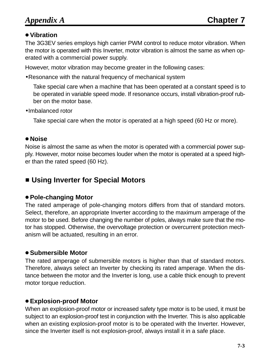#### **Vibration**

The 3G3EV series employs high carrier PWM control to reduce motor vibration. When the motor is operated with this Inverter, motor vibration is almost the same as when operated with a commercial power supply.

However, motor vibration may become greater in the following cases:

•Resonance with the natural frequency of mechanical system

Take special care when a machine that has been operated at a constant speed is to be operated in variable speed mode. If resonance occurs, install vibration-proof rubber on the motor base.

•Imbalanced rotor

Take special care when the motor is operated at a high speed (60 Hz or more).

#### **Noise**

Noise is almost the same as when the motor is operated with a commercial power supply. However, motor noise becomes louder when the motor is operated at a speed higher than the rated speed (60 Hz).

#### **E** Using Inverter for Special Motors

#### **Pole-changing Motor**

The rated amperage of pole-changing motors differs from that of standard motors. Select, therefore, an appropriate Inverter according to the maximum amperage of the motor to be used. Before changing the number of poles, always make sure that the motor has stopped. Otherwise, the overvoltage protection or overcurrent protection mechanism will be actuated, resulting in an error.

#### **Submersible Motor**

The rated amperage of submersible motors is higher than that of standard motors. Therefore, always select an Inverter by checking its rated amperage. When the distance between the motor and the Inverter is long, use a cable thick enough to prevent motor torque reduction.

#### **Explosion-proof Motor**

When an explosion-proof motor or increased safety type motor is to be used, it must be subject to an explosion-proof test in conjunction with the Inverter. This is also applicable when an existing explosion-proof motor is to be operated with the Inverter. However, since the Inverter itself is not explosion-proof, always install it in a safe place.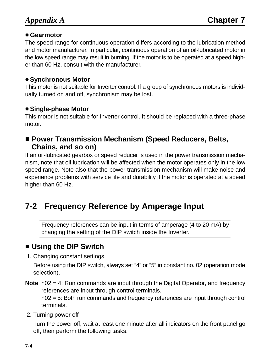#### **Gearmotor**

The speed range for continuous operation differs according to the lubrication method and motor manufacturer. In particular, continuous operation of an oil-lubricated motor in the low speed range may result in burning. If the motor is to be operated at a speed higher than 60 Hz, consult with the manufacturer.

#### $\bullet$  **Synchronous Motor**

This motor is not suitable for Inverter control. If a group of synchronous motors is individually turned on and off, synchronism may be lost.

#### **Single-phase Motor**

This motor is not suitable for Inverter control. It should be replaced with a three-phase motor.

#### ■ Power Transmission Mechanism (Speed Reducers, Belts, **Chains, and so on)**

If an oil-lubricated gearbox or speed reducer is used in the power transmission mechanism, note that oil lubrication will be affected when the motor operates only in the low speed range. Note also that the power transmission mechanism will make noise and experience problems with service life and durability if the motor is operated at a speed higher than 60 Hz.

# **7-2 Frequency Reference by Amperage Input**

Frequency references can be input in terms of amperage (4 to 20 mA) by changing the setting of the DIP switch inside the Inverter.

# **E** Using the DIP Switch

1. Changing constant settings

Before using the DIP switch, always set "4" or "5" in constant no. 02 (operation mode selection).

**Note** n02 = 4: Run commands are input through the Digital Operator, and frequency references are input through control terminals.

n02 = 5: Both run commands and frequency references are input through control terminals.

2. Turning power off

Turn the power off, wait at least one minute after all indicators on the front panel go off, then perform the following tasks.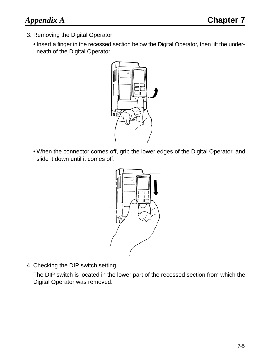- 3. Removing the Digital Operator
	- Insert a finger in the recessed section below the Digital Operator, then lift the underneath of the Digital Operator.



When the connector comes off, grip the lower edges of the Digital Operator, and slide it down until it comes off.



4. Checking the DIP switch setting

The DIP switch is located in the lower part of the recessed section from which the Digital Operator was removed.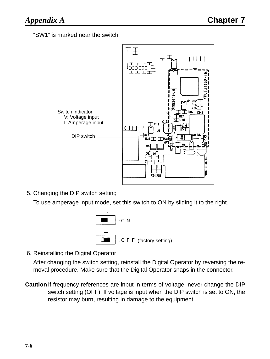"SW1" is marked near the switch.



5. Changing the DIP switch setting

To use amperage input mode, set this switch to ON by sliding it to the right.



6. Reinstalling the Digital Operator

After changing the switch setting, reinstall the Digital Operator by reversing the removal procedure. Make sure that the Digital Operator snaps in the connector.

**Caution** If frequency references are input in terms of voltage, never change the DIP switch setting (OFF). If voltage is input when the DIP switch is set to ON, the resistor may burn, resulting in damage to the equipment.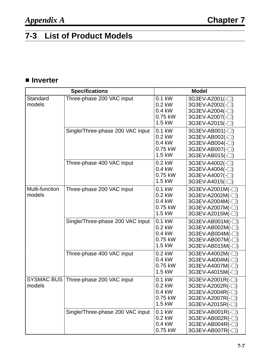# **7-3 List of Product Models**

#### - **Inverter**

|                             | <b>Specifications</b>            |                                                     | <b>Model</b>                                                                                                         |
|-----------------------------|----------------------------------|-----------------------------------------------------|----------------------------------------------------------------------------------------------------------------------|
| Standard<br>models          | Three-phase 200 VAC input        | 0.1 kW<br>$0.2$ kW<br>0.4 kW<br>0.75 kW<br>1.5 kW   | 3G3EV-A2001(-□)<br>3G3EV-A2002(-□)<br>3G3EV-A2004(-□)<br>3G3EV-A2007(-□)<br>3G3EV-A2015(-□)                          |
|                             | Single/Three-phase 200 VAC input | $0.1$ kW<br>$0.2$ kW<br>0.4 kW<br>0.75 kW<br>1.5 kW | 3G3EV-AB001(-□)<br>3G3EV-AB002(-□)<br>3G3EV-AB004(-□)<br>3G3EV-AB007(-□)<br>3G3EV-AB015(-□)                          |
|                             | Three-phase 400 VAC input        | 0.2 kW<br>$0.4$ kW<br>0.75 kW<br>$1.5$ kW           | 3G3EV-A4002(-□)<br>3G3EV-A4004(-□)<br>3G3EV-A4007(-□)<br>3G3EV-A4015(-□)                                             |
| Multi-function<br>models    | Three-phase 200 VAC input        | 0.1 kW<br>$0.2$ kW<br>0.4 kW<br>0.75 kW<br>$1.5$ kW | 3G3EV-A2001M(-□)<br>3G3EV-A2002M(-□)<br>3G3EV-A2004M(-□)<br>3G3EV-A2007M(-□)<br>3G3EV-A2015M(-□)                     |
|                             | Single/Three-phase 200 VAC input | 0.1 kW<br>$0.2$ kW<br>$0.4$ kW<br>0.75 kW<br>1.5 kW | 3G3EV-AB001M(-□)<br>3G3EV-AB002M(-□)<br>3G3EV-AB004M(-□)<br>3G3EV-AB007M(-□)<br>3G3EV-AB015M(-□)                     |
|                             | Three-phase 400 VAC input        | $0.2$ kW<br>$0.4$ kW<br>0.75 kW<br>1.5 kW           | 3G3EV-A4002M(-□)<br>3G3EV-A4004M(-□)<br>3G3EV-A4007M(-□)<br>3G3EV-A4015M(-□)                                         |
| <b>SYSMAC BUS</b><br>models | Three-phase 200 VAC input        | 0.1 kW<br>0.2 kW<br>0.4 kW<br>0.75 kW<br>1.5 kW     | 3G3EV-A2001R(- $\Box$ )<br>3G3EV-A2002R(- <sup>1</sup> )<br>3G3EV-A2004R(-□)<br>3G3EV-A2007R(-□)<br>3G3EV-A2015R(-□) |
|                             | Single/Three-phase 200 VAC input | 0.1 kW<br>$0.2$ kW<br>0.4 kW<br>0.75 kW             | 3G3EV-AB001R(-□)<br>3G3EV-AB002R(-□)<br>3G3EV-AB004R(- $\Box$ )<br>3G3EV-AB007R(- $\Box$ )                           |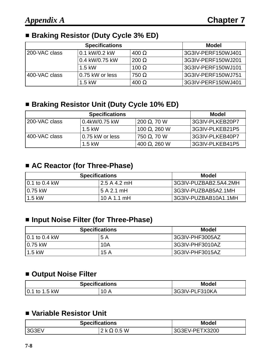#### ■ Braking Resistor (Duty Cycle 3% ED)

|               | <b>Specifications</b> |              | Model              |
|---------------|-----------------------|--------------|--------------------|
| 200-VAC class | 0.1 kW/0.2 kW         | $400 \Omega$ | 3G3IV-PERF150WJ401 |
|               | 0.4 kW/0.75 kW        | $200 \Omega$ | 3G3IV-PERF150WJ201 |
|               | $1.5$ kW              | 100 $\Omega$ | 3G3IV-PERF150WJ101 |
| 400-VAC class | 0.75 kW or less       | $750 \Omega$ | 3G3IV-PERF150WJ751 |
|               | $1.5$ kW              | $400 \Omega$ | 3G3IV-PERF150WJ401 |

### ■ Braking Resistor Unit (Duty Cycle 10% ED)

|                | <b>Specifications</b> |                     | <b>Model</b>    |
|----------------|-----------------------|---------------------|-----------------|
| 1200-VAC class | 0.4kW/0.75 kW         | 200 $\Omega$ , 70 W | 3G3IV-PLKEB20P7 |
|                | $1.5$ kW              | 100 Ω, 260 W        | 3G3IV-PLKEB21P5 |
| 1400-VAC class | 0.75 kW or less       | 750 $\Omega$ , 70 W | 3G3IV-PLKEB40P7 |
|                | $1.5$ kW              | 400 Ω, 260 W        | 3G3IV-PLKEB41P5 |

#### ■ AC Reactor (for Three-Phase)

| <b>Specifications</b> |              | Model                 |
|-----------------------|--------------|-----------------------|
| $10.1$ to 0.4 kW      | 2.5 A 4.2 mH | 3G3IV-PUZBAB2.5A4.2MH |
| $10.75$ kW            | 5 A 2.1 mH   | 3G3IV-PUZBAB5A2.1MH   |
| $1.5$ kW              | 10A1.1mH     | 3G3IV-PUZBAB10A1.1MH  |

#### ■ Input Noise Filter (for Three-Phase)

| <b>Specifications</b> |      | Model           |
|-----------------------|------|-----------------|
| 10.1 to 0.4 kW        | 5 A  | 3G3IV-PHF3005AZ |
| 0.75 kW               | 10A  | 3G3IV-PHF3010AZ |
| $1.5$ kW              | 15 A | 3G3IV-PHF3015AZ |

#### **E** Output Noise Filter

| <b>Specifications</b> |      | <b>Model</b>   |
|-----------------------|------|----------------|
| 0.1 to 1.5 kW         | 10 A | 3G3IV-PLF310KA |

#### - **Variable Resistor Unit**

| <b>Specifications</b> | <b>Model</b>         |                |
|-----------------------|----------------------|----------------|
| 13G3EV                | $2$ k $\Omega$ 0.5 W | 3G3EV-PETX3200 |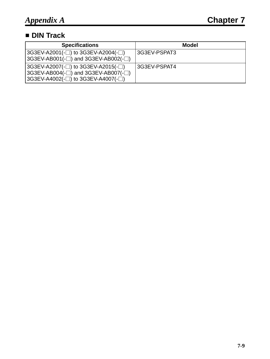#### - **DIN Track**

| <b>Specifications</b>                                                                                                      | <b>Model</b> |
|----------------------------------------------------------------------------------------------------------------------------|--------------|
| $ 3G3EV-A2001(-)$ to $3G3EV-A2004(-)$<br>$ 3G3EV-AB001(-) $ and $3G3EV-AB002(- )$                                          | 3G3EV-PSPAT3 |
| $ 3G3EV-A2007(-)$ to $3G3EV-A2015(-)$<br>$ 3G3EV-AB004(-) $ and $3G3EV-AB007(- )$<br>$ 3G3EV-A4002(-)$ to $3G3EV-A4007(-)$ | 3G3EV-PSPAT4 |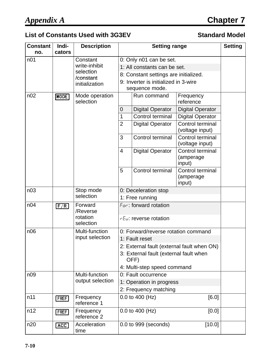# *Appendix A* **Chapter 7**

### List of Constants Used with 3G3EV **Standard Model**

| <b>Constant</b><br>no. | Indi-<br>cators | <b>Description</b>                           | <b>Setting range</b>                           |                                       | <b>Setting</b>                          |  |  |
|------------------------|-----------------|----------------------------------------------|------------------------------------------------|---------------------------------------|-----------------------------------------|--|--|
| n <sub>01</sub>        |                 | Constant                                     |                                                | 0: Only n01 can be set.               |                                         |  |  |
|                        |                 | write-inhibit                                |                                                | 1: All constants can be set.          |                                         |  |  |
|                        |                 | selection                                    |                                                | 8: Constant settings are initialized. |                                         |  |  |
|                        |                 | /constant<br>initialization                  |                                                | 9: Inverter is initialized in 3-wire  |                                         |  |  |
|                        |                 |                                              | sequence mode.                                 |                                       |                                         |  |  |
| n02                    | MODE            | Mode operation<br>selection                  |                                                | Run command                           | Frequency<br>reference                  |  |  |
|                        |                 |                                              | $\overline{0}$                                 | <b>Digital Operator</b>               | <b>Digital Operator</b>                 |  |  |
|                        |                 |                                              | 1                                              | Control terminal                      | <b>Digital Operator</b>                 |  |  |
|                        |                 |                                              | $\overline{2}$                                 | <b>Digital Operator</b>               | Control terminal<br>(voltage input)     |  |  |
|                        |                 |                                              | 3                                              | Control terminal                      | Control terminal<br>(voltage input)     |  |  |
|                        |                 |                                              | $\overline{4}$                                 | <b>Digital Operator</b>               | Control terminal<br>(amperage<br>input) |  |  |
|                        |                 |                                              | 5                                              | Control terminal                      | Control terminal<br>(amperage<br>input) |  |  |
| n <sub>03</sub>        |                 | Stop mode                                    | 0: Deceleration stop<br>1: Free running        |                                       |                                         |  |  |
|                        |                 | selection                                    |                                                |                                       |                                         |  |  |
| n04                    | F/R             | Forward<br>/Reverse<br>rotation<br>selection | For: forward rotation<br>rEu: reverse rotation |                                       |                                         |  |  |
| n06                    |                 | Multi-function                               | 0: Forward/reverse rotation command            |                                       |                                         |  |  |
|                        |                 | input selection                              | 1: Fault reset                                 |                                       |                                         |  |  |
|                        |                 |                                              | 2: External fault (external fault when ON)     |                                       |                                         |  |  |
|                        |                 |                                              | 3: External fault (external fault when<br>OFF) |                                       |                                         |  |  |
|                        |                 |                                              | 4: Multi-step speed command                    |                                       |                                         |  |  |
| n09                    |                 | Multi-function                               | 0: Fault occurrence                            |                                       |                                         |  |  |
|                        |                 | output selection                             | 1: Operation in progress                       |                                       |                                         |  |  |
|                        |                 |                                              | 2: Frequency matching                          |                                       |                                         |  |  |
| n11                    | <b>FREF</b>     | Frequency<br>reference 1                     | 0.0 to 400 (Hz)<br>[6.0]                       |                                       |                                         |  |  |
| n12                    | <b>FREF</b>     | Frequency<br>reference 2                     |                                                | 0.0 to 400 (Hz)                       | [0.0]                                   |  |  |
| n20                    | ACC             | Acceleration<br>time                         |                                                | 0.0 to 999 (seconds)                  | [10.0]                                  |  |  |